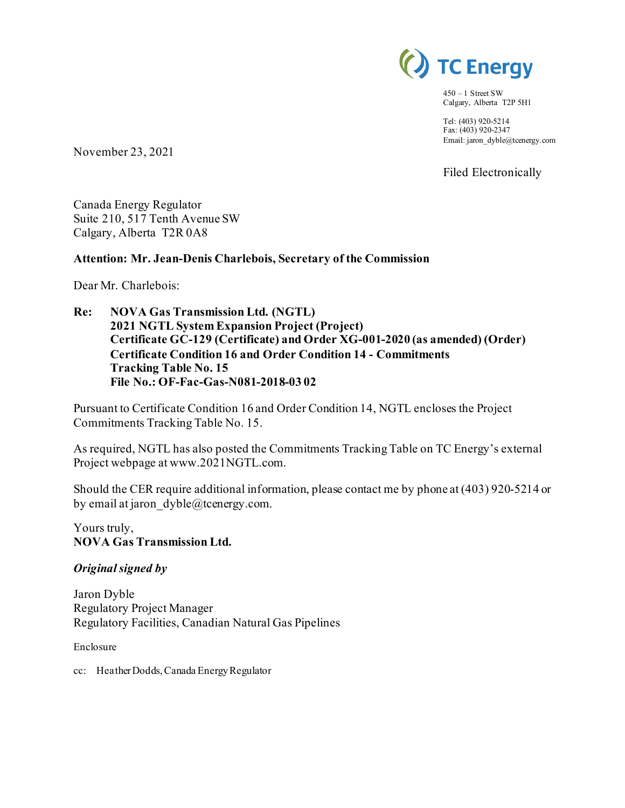

 $450 - 1$  Street SW Calgary, Alberta T2P 5H1

Tel: (403) 920-5214 Fax: (403) 920-2347 Email: jaron\_dyble@tcenergy.com

Filed Electronically

November 23, 2021

Canada Energy Regulator Suite 210, 517 Tenth Avenue SW Calgary, Alberta T2R 0A8

### **Attention: Mr. Jean-Denis Charlebois, Secretary of the Commission**

Dear Mr. Charlebois:

**Re: NOVA Gas Transmission Ltd. (NGTL) 2021 NGTL System Expansion Project (Project) Certificate GC-129 (Certificate) and Order XG-001-2020 (as amended) (Order) Certificate Condition 16 and Order Condition 14 - Commitments Tracking Table No. 15 File No.: OF-Fac-Gas-N081-2018-03 02**

Pursuant to Certificate Condition 16 and Order Condition 14, NGTL encloses the Project Commitments Tracking Table No. 15.

As required, NGTL has also posted the Commitments Tracking Table on TC Energy's external Project webpage at www.2021NGTL.com.

Should the CER require additional information, please contact me by phone at (403) 920-5214 or by email at jaron  $dyble@tcentery.com$ .

Yours truly, **NOVA Gas Transmission Ltd.**

### *Original signed by*

Jaron Dyble Regulatory Project Manager Regulatory Facilities, Canadian Natural Gas Pipelines

Enclosure

cc: Heather Dodds, Canada Energy Regulator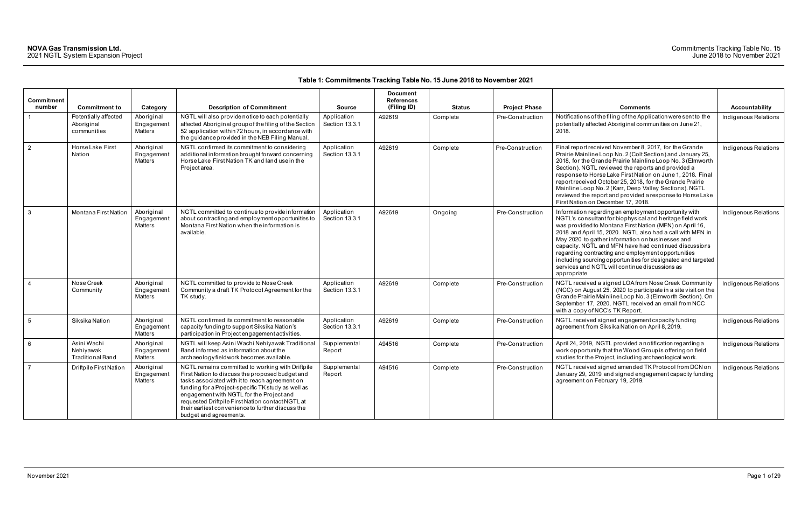| <b>Commitment</b><br>number | <b>Commitment to</b>                                | Category                                   | <b>Description of Commitment</b>                                                                                                                                                                                                                                                                                                                                                           | <b>Source</b>                 | <b>Document</b><br><b>References</b><br>(Filing ID) | <b>Status</b> | <b>Project Phase</b> | <b>Comments</b>                                                                                                                                                                                                                                                                                                                                                                                                                                                                                                                                | <b>Accountability</b> |
|-----------------------------|-----------------------------------------------------|--------------------------------------------|--------------------------------------------------------------------------------------------------------------------------------------------------------------------------------------------------------------------------------------------------------------------------------------------------------------------------------------------------------------------------------------------|-------------------------------|-----------------------------------------------------|---------------|----------------------|------------------------------------------------------------------------------------------------------------------------------------------------------------------------------------------------------------------------------------------------------------------------------------------------------------------------------------------------------------------------------------------------------------------------------------------------------------------------------------------------------------------------------------------------|-----------------------|
| $\overline{1}$              | Potentially affected                                | Aboriginal                                 | NGTL will also provide notice to each potentially                                                                                                                                                                                                                                                                                                                                          | Application                   | A92619                                              | Complete      | Pre-Construction     | Notifications of the filing of the Application were sent to the                                                                                                                                                                                                                                                                                                                                                                                                                                                                                | Indigenous Relations  |
|                             | Aboriginal<br>communities                           | Engagement<br>Matters                      | affected Aboriginal group of the filing of the Section<br>52 application within 72 hours, in accordance with<br>the guidance provided in the NEB Filing Manual.                                                                                                                                                                                                                            | Section 13.3.1                |                                                     |               |                      | potentially affected Aboriginal communities on June 21,<br>2018.                                                                                                                                                                                                                                                                                                                                                                                                                                                                               |                       |
| $\overline{2}$              | Horse Lake First<br>Nation                          | Aboriginal<br>Engagement<br>Matters        | NGTL confirmed its commitment to considering<br>additional information brought forward concerning<br>Horse Lake First Nation TK and land use in the<br>Project area.                                                                                                                                                                                                                       | Application<br>Section 13.3.1 | A92619                                              | Complete      | Pre-Construction     | Final report received November 8, 2017, for the Grande<br>Prairie Mainline Loop No. 2 (Colt Section) and January 25,<br>2018, for the Grande Prairie Mainline Loop No. 3 (Elmworth<br>Section). NGTL reviewed the reports and provided a<br>response to Horse Lake First Nation on June 1, 2018. Final<br>report received October 25, 2018, for the Grande Prairie<br>Mainline Loop No. 2 (Karr, Deep Valley Sections). NGTL<br>reviewed the report and provided a response to Horse Lake<br>First Nation on December 17, 2018.                | Indigenous Relations  |
| $\vert$ 3                   | Montana First Nation                                | Aboriginal<br>Engagement<br><b>Matters</b> | NGTL committed to continue to provide information<br>about contracting and employment opportunities to<br>Montana First Nation when the information is<br>available.                                                                                                                                                                                                                       | Application<br>Section 13.3.1 | A92619                                              | Ongoing       | Pre-Construction     | Information regarding an employment opportunity with<br>NGTL's consultant for biophysical and heritage field work<br>was provided to Montana First Nation (MFN) on April 16,<br>2018 and April 15, 2020. NGTL also had a call with MFN in<br>May 2020 to gather information on businesses and<br>capacity. NGTL and MFN have had continued discussions<br>regarding contracting and employment opportunities<br>including sourcing opportunities for designated and targeted<br>services and NGTL will continue discussions as<br>appropriate. | Indigenous Relations  |
| $\overline{4}$              | Nose Creek<br>Community                             | Aboriginal<br>Engagemen<br><b>Matters</b>  | NGTL committed to provide to Nose Creek<br>Community a draft TK Protocol Agreement for the<br>TK study.                                                                                                                                                                                                                                                                                    | Application<br>Section 13.3.1 | A92619                                              | Complete      | Pre-Construction     | NGTL received a signed LOA from Nose Creek Community<br>(NCC) on August 25, 2020 to participate in a site visit on the<br>Grande Prairie Mainline Loop No. 3 (Elmworth Section). On<br>September 17, 2020, NGTL received an email from NCC<br>with a copy of NCC's TK Report.                                                                                                                                                                                                                                                                  | Indigenous Relations  |
| 5                           | Siksika Nation                                      | Aboriginal<br>Engagement<br>Matters        | NGTL confirmed its commitment to reasonable<br>capacity funding to support Siksika Nation's<br>participation in Project engagement activities.                                                                                                                                                                                                                                             | Application<br>Section 13.3.1 | A92619                                              | Complete      | Pre-Construction     | NGTL received signed engagement capacity funding<br>agreement from Siksika Nation on April 8, 2019.                                                                                                                                                                                                                                                                                                                                                                                                                                            | Indigenous Relations  |
| 6 <sup>6</sup>              | Asini Wachi<br>Nehiyawak<br><b>Traditional Band</b> | Aboriginal<br>Engagemen<br><b>Matters</b>  | NGTL will keep Asini Wachi Nehiyawak Traditional<br>Band informed as information about the<br>archaeology fieldwork becomes available.                                                                                                                                                                                                                                                     | Supplemental<br>Report        | A94516                                              | Complete      | Pre-Construction     | April 24, 2019, NGTL provided a notification regarding a<br>work opportunity that the Wood Group is offering on field<br>studies for the Project, including archaeological work.                                                                                                                                                                                                                                                                                                                                                               | Indigenous Relations  |
| $\overline{7}$              | Driftpile First Nation                              | Aboriginal<br>Engagemen<br>Matters         | NGTL remains committed to working with Driftpile<br>First Nation to discuss the proposed budget and<br>tasks associated with it to reach agreement on<br>funding for a Project-specific TK study as well as<br>engagement with NGTL for the Project and<br>requested Driftpile First Nation contact NGTL at<br>their earliest convenience to further discuss the<br>budget and agreements. | Supplemental<br>Report        | A94516                                              | Complete      | Pre-Construction     | NGTL received signed amended TK Protocol from DCN on<br>January 29, 2019 and signed engagement capacity funding<br>agreement on February 19, 2019.                                                                                                                                                                                                                                                                                                                                                                                             | Indigenous Relations  |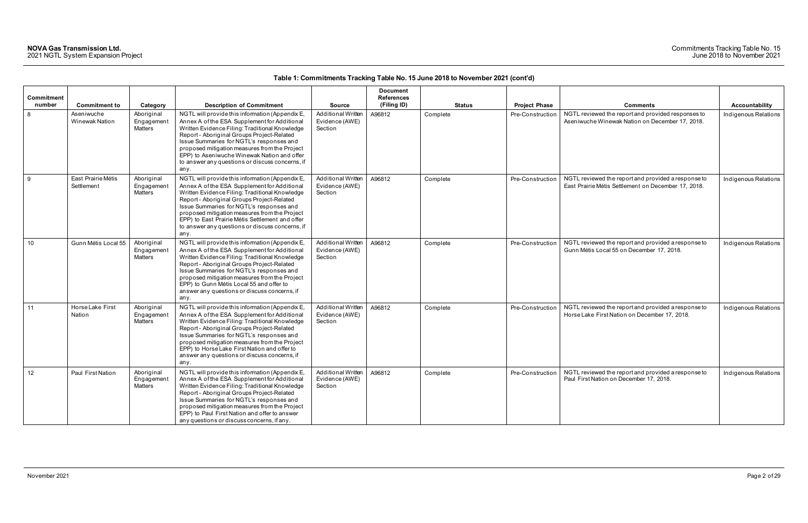### Commitments Tracking Table No. 15 June 2018 to November 2021

| Commitment |                                  |                                            |                                                                                                                                                                                                                                                                                                                                                                                                            |                                                        | <b>Document</b><br><b>References</b> |               |                      |                                                                                                            |                      |
|------------|----------------------------------|--------------------------------------------|------------------------------------------------------------------------------------------------------------------------------------------------------------------------------------------------------------------------------------------------------------------------------------------------------------------------------------------------------------------------------------------------------------|--------------------------------------------------------|--------------------------------------|---------------|----------------------|------------------------------------------------------------------------------------------------------------|----------------------|
| number     | <b>Commitment to</b>             | Category                                   | <b>Description of Commitment</b>                                                                                                                                                                                                                                                                                                                                                                           | <b>Source</b>                                          | (Filing ID)                          | <b>Status</b> | <b>Project Phase</b> | <b>Comments</b>                                                                                            | Accountability       |
| 8          | Aseniwuche<br>Winewak Nation     | Aboriginal<br>Engagement<br>Matters        | NGTL will provide this information (Appendix E,<br>Annex A of the ESA Supplement for Additional<br>Written Evidence Filing: Traditional Knowledge<br>Report - Aboriginal Groups Project-Related<br>Issue Summaries for NGTL's responses and<br>proposed mitigation measures from the Project<br>EPP) to Aseniwuche Winewak Nation and offer<br>to answer any questions or discuss concerns, if<br>any.     | <b>Additional Written</b><br>Evidence (AWE)<br>Section | A96812                               | Complete      | Pre-Construction     | NGTL reviewed the report and provided responses to<br>Aseniwuche Winewak Nation on December 17, 2018.      | Indigenous Relations |
| -9         | East Prairie Métis<br>Settlement | Aboriginal<br>Engagement<br><b>Matters</b> | NGTL will provide this information (Appendix E,<br>Annex A of the ESA Supplement for Additional<br>Written Evidence Filing: Traditional Knowledge<br>Report - Aboriginal Groups Project-Related<br>Issue Summaries for NGTL's responses and<br>proposed mitigation measures from the Project<br>EPP) to East Prairie Métis Settlement and offer<br>to answer any questions or discuss concerns, if<br>any. | <b>Additional Written</b><br>Evidence (AWE)<br>Section | A96812                               | Complete      | Pre-Construction     | NGTL reviewed the report and provided a response to<br>East Prairie Métis Settlement on December 17, 2018. | Indigenous Relations |
| 10         | Gunn Métis Local 55              | Aboriginal<br>Engagement<br><b>Matters</b> | NGTL will provide this information (Appendix E,<br>Annex A of the ESA Supplement for Additional<br>Written Evidence Filing: Traditional Knowledge<br>Report - Aboriginal Groups Project-Related<br>Issue Summaries for NGTL's responses and<br>proposed mitigation measures from the Project<br>EPP) to Gunn Métis Local 55 and offer to<br>answer any questions or discuss concerns, if<br>any.           | <b>Additional Written</b><br>Evidence (AWE)<br>Section | A96812                               | Complete      | Pre-Construction     | NGTL reviewed the report and provided a response to<br>Gunn Métis Local 55 on December 17, 2018.           | Indigenous Relations |
| 11         | Horse Lake First<br>Nation       | Aboriginal<br>Engagement<br><b>Matters</b> | NGTL will provide this information (Appendix E,<br>Annex A of the ESA Supplement for Additional<br>Written Evidence Filing: Traditional Knowledge<br>Report - Aboriginal Groups Project-Related<br>Issue Summaries for NGTL's responses and<br>proposed mitigation measures from the Project<br>EPP) to Horse Lake First Nation and offer to<br>answer any questions or discuss concerns, if<br>any.       | Additional Written<br>Evidence (AWE)<br>Section        | A96812                               | Complete      | Pre-Construction     | NGTL reviewed the report and provided a response to<br>Horse Lake First Nation on December 17, 2018.       | Indigenous Relations |
| 12         | <b>Paul First Nation</b>         | Aboriginal<br>Engagement<br>Matters        | NGTL will provide this information (Appendix E,<br>Annex A of the ESA Supplement for Additional<br>Written Evidence Filing: Traditional Knowledge<br>Report - Aboriginal Groups Project-Related<br>Issue Summaries for NGTL's responses and<br>proposed mitigation measures from the Project<br>EPP) to Paul First Nation and offer to answer<br>any questions or discuss concerns, if any.                | Additional Written<br>Evidence (AWE)<br>Section        | A96812                               | Complete      | Pre-Construction     | NGTL reviewed the report and provided a response to<br>Paul First Nation on December 17, 2018.             | Indigenous Relations |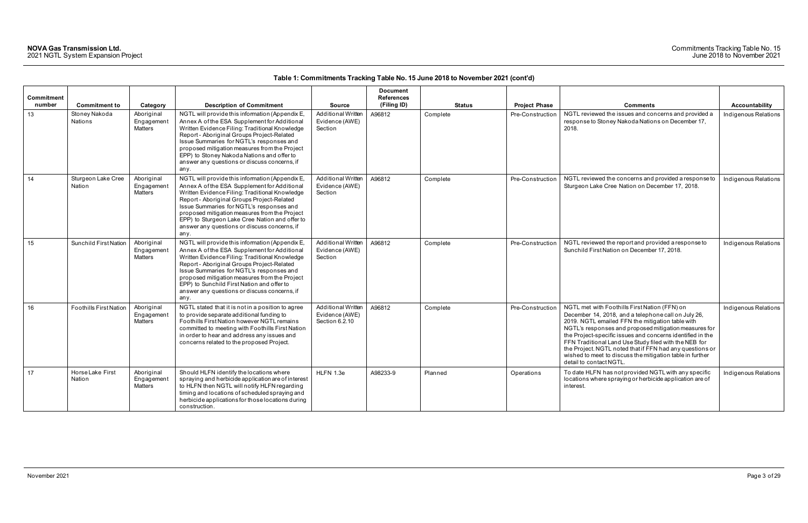### Commitments Tracking Table No. 15 June 2018 to November 2021

| <b>Commitment</b><br>number | <b>Commitment to</b>          | Category                                   | <b>Description of Commitment</b>                                                                                                                                                                                                                                                                                                                                                                       | <b>Source</b>                                          | <b>Document</b><br><b>References</b><br>(Filing ID) | <b>Status</b> | <b>Project Phase</b> | <b>Comments</b>                                                                                                                                                                                                                                                                                                                                                                                                                                                                              | <b>Accountability</b> |
|-----------------------------|-------------------------------|--------------------------------------------|--------------------------------------------------------------------------------------------------------------------------------------------------------------------------------------------------------------------------------------------------------------------------------------------------------------------------------------------------------------------------------------------------------|--------------------------------------------------------|-----------------------------------------------------|---------------|----------------------|----------------------------------------------------------------------------------------------------------------------------------------------------------------------------------------------------------------------------------------------------------------------------------------------------------------------------------------------------------------------------------------------------------------------------------------------------------------------------------------------|-----------------------|
| 13                          | Stoney Nakoda<br>Nations      | Aboriginal<br>Engagement<br><b>Matters</b> | NGTL will provide this information (Appendix E,<br>Annex A of the ESA Supplement for Additional<br>Written Evidence Filing: Traditional Knowledge<br>Report - Aboriginal Groups Project-Related<br>Issue Summaries for NGTL's responses and<br>proposed mitigation measures from the Project<br>EPP) to Stoney Nakoda Nations and offer to<br>answer any questions or discuss concerns, if<br>any.     | <b>Additional Written</b><br>Evidence (AWE)<br>Section | A96812                                              | Complete      | Pre-Construction     | NGTL reviewed the issues and concerns and provided a<br>response to Stoney Nakoda Nations on December 17,<br>2018.                                                                                                                                                                                                                                                                                                                                                                           | Indigenous Relations  |
| 14                          | Sturgeon Lake Cree<br>Nation  | Aboriginal<br>Engagement<br>Matters        | NGTL will provide this information (Appendix E,<br>Annex A of the ESA Supplement for Additional<br>Written Evidence Filing: Traditional Knowledge<br>Report - Aboriginal Groups Project-Related<br>Issue Summaries for NGTL's responses and<br>proposed mitigation measures from the Project<br>EPP) to Sturgeon Lake Cree Nation and offer to<br>answer any questions or discuss concerns, if<br>any. | Additional Written<br>Evidence (AWE)<br>Section        | A96812                                              | Complete      | Pre-Construction     | NGTL reviewed the concerns and provided a response to<br>Sturgeon Lake Cree Nation on December 17, 2018.                                                                                                                                                                                                                                                                                                                                                                                     | Indigenous Relations  |
| 15                          | <b>Sunchild First Nation</b>  | Aboriginal<br>Engagement<br>Matters        | NGTL will provide this information (Appendix E,<br>Annex A of the ESA Supplement for Additional<br>Written Evidence Filing: Traditional Knowledge<br>Report - Aboriginal Groups Project-Related<br>Issue Summaries for NGTL's responses and<br>proposed mitigation measures from the Project<br>EPP) to Sunchild First Nation and offer to<br>answer any questions or discuss concerns, if<br>any.     | <b>Additional Written</b><br>Evidence (AWE)<br>Section | A96812                                              | Complete      | Pre-Construction     | NGTL reviewed the report and provided a response to<br>Sunchild First Nation on December 17, 2018.                                                                                                                                                                                                                                                                                                                                                                                           | Indigenous Relations  |
| 16                          | <b>Foothills First Nation</b> | Aboriginal<br>Engagement<br>Matters        | NGTL stated that it is not in a position to agree<br>to provide separate additional funding to<br>Foothills First Nation however NGTL remains<br>committed to meeting with Foothills First Nation<br>in order to hear and address any issues and<br>concerns related to the proposed Project.                                                                                                          | Additional Written<br>Evidence (AWE)<br>Section 6.2.10 | A96812                                              | Complete      | Pre-Construction     | NGTL met with Foothills First Nation (FFN) on<br>December 14, 2018, and a telephone call on July 26,<br>2019. NGTL emailed FFN the mitigation table with<br>NGTL's responses and proposed mitigation measures for<br>the Project-specific issues and concerns identified in the<br>FFN Traditional Land Use Study filed with the NEB for<br>the Project. NGTL noted that if FFN had any questions or<br>wished to meet to discuss the mitigation table in further<br>detail to contact NGTL. | Indigenous Relations  |
| 17                          | Horse Lake First<br>Nation    | Aboriginal<br>Engagement<br><b>Matters</b> | Should HLFN identify the locations where<br>spraying and herbicide application are of interest<br>to HLFN then NGTL will notify HLFN regarding<br>timing and locations of scheduled spraying and<br>herbicide applications for those locations during<br>construction.                                                                                                                                 | HLFN 1.3e                                              | A98233-9                                            | Planned       | Operations           | To date HLFN has not provided NGTL with any specific<br>locations where spraying or herbicide application are of<br>interest.                                                                                                                                                                                                                                                                                                                                                                | Indigenous Relations  |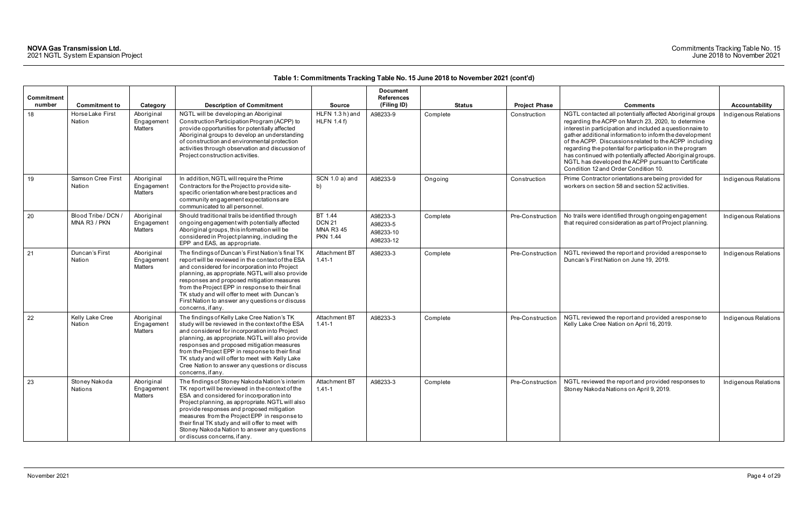|                      |                                     |                                     |                                                                                                                                                                                                                                                                                                                                                                                                                                      |                                                                 | <b>Document</b>                                |               |                      |                                                                                                                                                                                                                                                                                                                                                                                                                                                                                                                            |                      |
|----------------------|-------------------------------------|-------------------------------------|--------------------------------------------------------------------------------------------------------------------------------------------------------------------------------------------------------------------------------------------------------------------------------------------------------------------------------------------------------------------------------------------------------------------------------------|-----------------------------------------------------------------|------------------------------------------------|---------------|----------------------|----------------------------------------------------------------------------------------------------------------------------------------------------------------------------------------------------------------------------------------------------------------------------------------------------------------------------------------------------------------------------------------------------------------------------------------------------------------------------------------------------------------------------|----------------------|
| Commitment<br>number |                                     |                                     |                                                                                                                                                                                                                                                                                                                                                                                                                                      |                                                                 | <b>References</b>                              |               |                      |                                                                                                                                                                                                                                                                                                                                                                                                                                                                                                                            |                      |
|                      | <b>Commitment to</b>                | Category                            | <b>Description of Commitment</b>                                                                                                                                                                                                                                                                                                                                                                                                     | <b>Source</b>                                                   | (Filing ID)                                    | <b>Status</b> | <b>Project Phase</b> | <b>Comments</b>                                                                                                                                                                                                                                                                                                                                                                                                                                                                                                            | Accountability       |
| 18                   | Horse Lake First<br>Nation          | Aboriginal<br>Engagement<br>Matters | NGTL will be developing an Aboriginal<br>Construction Participation Program (ACPP) to<br>provide opportunities for potentially affected<br>Aboriginal groups to develop an understanding<br>of construction and environmental protection<br>activities through observation and discussion of<br>Project construction activities.                                                                                                     | HLFN 1.3 h) and<br>HLFN $1.4 f$ )                               | A98233-9                                       | Complete      | Construction         | NGTL contacted all potentially affected Aboriginal groups<br>regarding the ACPP on March 23, 2020, to determine<br>interest in participation and included a questionnaire to<br>gather additional information to inform the development<br>of the ACPP. Discussions related to the ACPP including<br>regarding the potential for participation in the program<br>has continued with potentially affected Aboriginal groups.<br>NGTL has developed the ACPP pursuant to Certificate<br>Condition 12 and Order Condition 10. | Indigenous Relations |
| 19                   | Samson Cree First<br>Nation         | Aboriginal<br>Engagement<br>Matters | In addition, NGTL will require the Prime<br>Contractors for the Project to provide site-<br>specific orientation where best practices and<br>community engagement expectations are<br>communicated to all personnel.                                                                                                                                                                                                                 | SCN 1.0 a) and<br>b)                                            | A98233-9                                       | Ongoing       | Construction         | Prime Contractor orientations are being provided for<br>workers on section 58 and section 52 activities.                                                                                                                                                                                                                                                                                                                                                                                                                   | Indigenous Relations |
| 20                   | Blood Tribe / DCN /<br>MNA R3 / PKN | Aboriginal<br>Engagement<br>Matters | Should traditional trails be identified through<br>ongoing engagement with potentially affected<br>Aboriginal groups, this information will be<br>considered in Project planning, including the<br>EPP and EAS, as appropriate.                                                                                                                                                                                                      | BT 1.44<br><b>DCN 21</b><br><b>MNA R3 45</b><br><b>PKN 1.44</b> | A98233-3<br>A98233-5<br>A98233-10<br>A98233-12 | Complete      | Pre-Construction     | No trails were identified through ongoing engagement<br>that required consideration as part of Project planning.                                                                                                                                                                                                                                                                                                                                                                                                           | Indigenous Relations |
| 21                   | Duncan's First<br>Nation            | Aboriginal<br>Engagement<br>Matters | The findings of Duncan's First Nation's final TK<br>report will be reviewed in the context of the ESA<br>and considered for incorporation into Project<br>planning, as appropriate. NGTL will also provide<br>responses and proposed mitigation measures<br>from the Project EPP in response to their final<br>TK study and will offer to meet with Duncan's<br>First Nation to answer any questions or discuss<br>concerns, if any. | Attachment BT<br>$1.41 - 1$                                     | A98233-3                                       | Complete      | Pre-Construction     | NGTL reviewed the report and provided a response to<br>Duncan's First Nation on June 19, 2019.                                                                                                                                                                                                                                                                                                                                                                                                                             | Indigenous Relations |
| 22                   | Kelly Lake Cree<br>Nation           | Aboriginal<br>Engagement<br>Matters | The findings of Kelly Lake Cree Nation's TK<br>study will be reviewed in the context of the ESA<br>and considered for incorporation into Project<br>planning, as appropriate. NGTL will also provide<br>responses and proposed mitigation measures<br>from the Project EPP in response to their final<br>TK study and will offer to meet with Kelly Lake<br>Cree Nation to answer any questions or discuss<br>concerns, if any.      | Attachment BT<br>$1.41 - 1$                                     | A98233-3                                       | Complete      | Pre-Construction     | NGTL reviewed the report and provided a response to<br>Kelly Lake Cree Nation on April 16, 2019.                                                                                                                                                                                                                                                                                                                                                                                                                           | Indigenous Relations |
| 23                   | Stoney Nakoda<br>Nations            | Aboriginal<br>Engagement<br>Matters | The findings of Stoney Nakoda Nation's interim<br>TK report will be reviewed in the context of the<br>ESA and considered for incorporation into<br>Project planning, as appropriate. NGTL will also<br>provide responses and proposed mitigation<br>measures from the Project EPP in response to<br>their final TK study and will offer to meet with<br>Stoney Nakoda Nation to answer any questions<br>or discuss concerns, if any. | Attachment BT<br>$1.41 - 1$                                     | A98233-3                                       | Complete      | Pre-Construction     | NGTL reviewed the report and provided responses to<br>Stoney Nakoda Nations on April 9, 2019.                                                                                                                                                                                                                                                                                                                                                                                                                              | Indigenous Relations |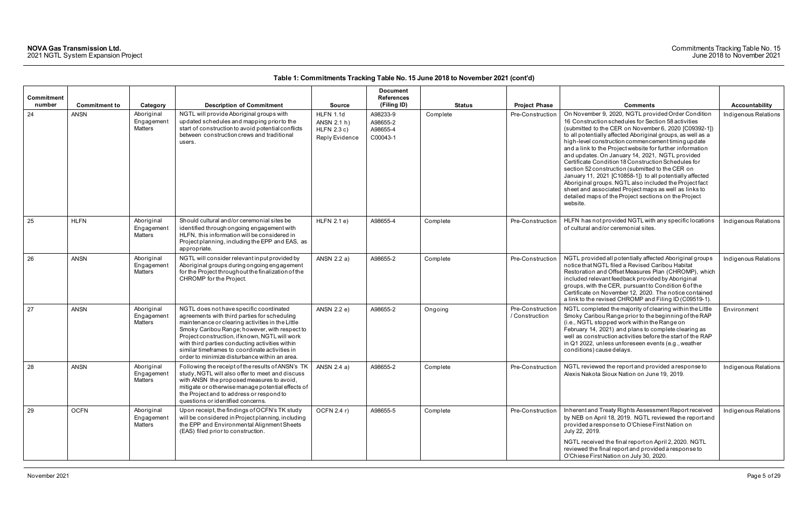| Commitment<br>number | <b>Commitment to</b> |                                                        | <b>Description of Commitment</b>                                                                                                                                                                                                                                                                                                                                                                     | <b>Source</b>                                               | <b>Document</b><br><b>References</b><br>(Filing ID) | <b>Status</b> | <b>Project Phase</b>               | <b>Comments</b>                                                                                                                                                                                                                                                                                                                                                                                                                                                                                                                                                                                                                                                                                                                                                       | Accountability       |
|----------------------|----------------------|--------------------------------------------------------|------------------------------------------------------------------------------------------------------------------------------------------------------------------------------------------------------------------------------------------------------------------------------------------------------------------------------------------------------------------------------------------------------|-------------------------------------------------------------|-----------------------------------------------------|---------------|------------------------------------|-----------------------------------------------------------------------------------------------------------------------------------------------------------------------------------------------------------------------------------------------------------------------------------------------------------------------------------------------------------------------------------------------------------------------------------------------------------------------------------------------------------------------------------------------------------------------------------------------------------------------------------------------------------------------------------------------------------------------------------------------------------------------|----------------------|
| 24                   | <b>ANSN</b>          | Category<br>Aboriginal<br>Engagement<br><b>Matters</b> | NGTL will provide Aboriginal groups with<br>updated schedules and mapping prior to the<br>start of construction to avoid potential conflicts<br>between construction crews and traditional<br>users.                                                                                                                                                                                                 | HLFN 1.1d<br>ANSN 2.1 h)<br>$HLFN$ 2.3 c)<br>Reply Evidence | A98233-9<br>A98655-2<br>A98655-4<br>C00043-1        | Complete      | Pre-Construction                   | On November 9, 2020, NGTL provided Order Condition<br>16 Construction schedules for Section 58 activities<br>(submitted to the CER on November 6, 2020 [C09392-1])<br>to all potentially affected Aboriginal groups, as well as a<br>high-level construction commencement timing update<br>and a link to the Project website for further information<br>and updates. On January 14, 2021, NGTL provided<br>Certificate Condition 18 Construction Schedules for<br>section 52 construction (submitted to the CER on<br>January 11, 2021 [C10858-1]) to all potentially affected<br>Aboriginal groups. NGTL also included the Project fact<br>sheet and associated Project maps as well as links to<br>detailed maps of the Project sections on the Project<br>website. | Indigenous Relations |
| 25                   | <b>HLFN</b>          | Aboriginal<br>Engagement<br>Matters                    | Should cultural and/or ceremonial sites be<br>identified through ongoing engagement with<br>HLFN, this information will be considered in<br>Project planning, including the EPP and EAS, as<br>appropriate.                                                                                                                                                                                          | $HLFN$ 2.1 e)                                               | A98655-4                                            | Complete      | Pre-Construction                   | HLFN has not provided NGTL with any specific locations<br>of cultural and/or ceremonial sites.                                                                                                                                                                                                                                                                                                                                                                                                                                                                                                                                                                                                                                                                        | Indigenous Relations |
| 26                   | <b>ANSN</b>          | Aboriginal<br>Engagement<br>Matters                    | NGTL will consider relevant input provided by<br>Aboriginal groups during ongoing engagement<br>for the Project throughout the finalization of the<br>CHROMP for the Project.                                                                                                                                                                                                                        | ANSN 2.2 a)                                                 | A98655-2                                            | Complete      | Pre-Construction                   | NGTL provided all potentially affected Aboriginal groups<br>notice that NGTL filed a Revised Caribou Habitat<br>Restoration and Offset Measures Plan (CHROMP), which<br>included relevant feedback provided by Aboriginal<br>groups, with the CER, pursuant to Condition 6 of the<br>Certificate on November 12, 2020. The notice contained<br>a link to the revised CHROMP and Filing ID (C09519-1).                                                                                                                                                                                                                                                                                                                                                                 | Indigenous Relations |
| 27                   | <b>ANSN</b>          | Aboriginal<br>Engagement<br>Matters                    | NGTL does not have specific coordinated<br>agreements with third parties for scheduling<br>maintenance or clearing activities in the Little<br>Smoky Caribou Range; however, with respect to<br>Project construction, if known, NGTL will work<br>with third parties conducting activities within<br>similar timeframes to coordinate activities in<br>order to minimize disturbance within an area. | ANSN 2.2 e)                                                 | A98655-2                                            | Ongoing       | Pre-Construction<br>/ Construction | NGTL completed the majority of clearing within the Little<br>Smoky Caribou Range prior to the beginning of the RAP<br>(i.e., NGTL stopped work within the Range on<br>February 14, 2021) and plans to complete clearing as<br>well as construction activities before the start of the RAP<br>in Q1 2022, unless unforeseen events (e.g., weather<br>conditions) cause delays.                                                                                                                                                                                                                                                                                                                                                                                         | Environment          |
| 28                   | <b>ANSN</b>          | Aboriginal<br>Engagement<br>Matters                    | Following the receipt of the results of ANSN's TK<br>study, NGTL will also offer to meet and discuss<br>with ANSN the proposed measures to avoid,<br>mitigate or otherwise manage potential effects of<br>the Project and to address or respond to<br>questions or identified concerns.                                                                                                              | ANSN 2.4 a)                                                 | A98655-2                                            | Complete      | Pre-Construction                   | NGTL reviewed the report and provided a response to<br>Alexis Nakota Sioux Nation on June 19, 2019.                                                                                                                                                                                                                                                                                                                                                                                                                                                                                                                                                                                                                                                                   | Indigenous Relations |
| 29                   | <b>OCFN</b>          | Aboriginal<br>Engagement<br>Matters                    | Upon receipt, the findings of OCFN's TK study<br>will be considered in Project planning, including<br>the EPP and Environmental Alignment Sheets<br>(EAS) filed prior to construction.                                                                                                                                                                                                               | OCFN 2.4 r)                                                 | A98655-5                                            | Complete      | Pre-Construction                   | Inherent and Treaty Rights Assessment Report received<br>by NEB on April 18, 2019. NGTL reviewed the report and<br>provided a response to O'Chiese First Nation on<br>July 22, 2019.<br>NGTL received the final report on April 2, 2020. NGTL<br>reviewed the final report and provided a response to<br>O'Chiese First Nation on July 30, 2020.                                                                                                                                                                                                                                                                                                                                                                                                                      | Indigenous Relations |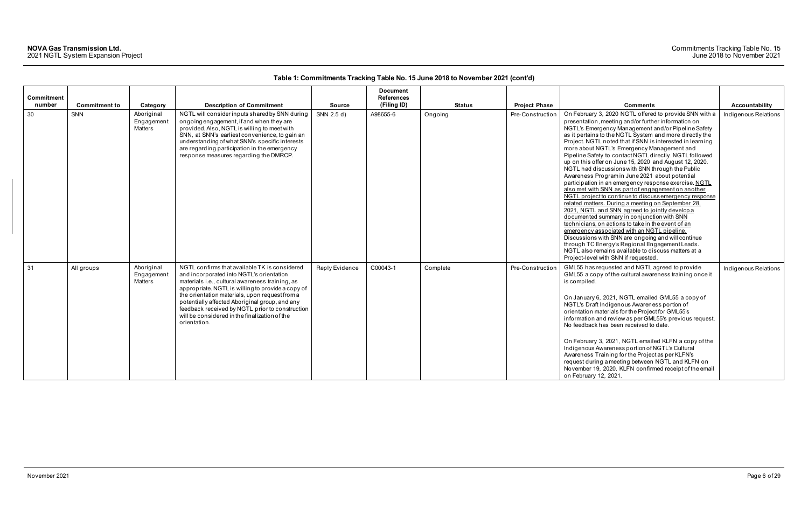|                   |                      |                                            |                                                                                                                                                                                                                                                                                                                                                                                                                           |                | <b>Document</b>   |               |                      |                                                                                                                                                                                                                                                                                                                                                                                                                                                                                                                                                                                                                                                                                                                                                                                                                                                                                                                                                                                                                                                                                                                                                                                                                 |                      |
|-------------------|----------------------|--------------------------------------------|---------------------------------------------------------------------------------------------------------------------------------------------------------------------------------------------------------------------------------------------------------------------------------------------------------------------------------------------------------------------------------------------------------------------------|----------------|-------------------|---------------|----------------------|-----------------------------------------------------------------------------------------------------------------------------------------------------------------------------------------------------------------------------------------------------------------------------------------------------------------------------------------------------------------------------------------------------------------------------------------------------------------------------------------------------------------------------------------------------------------------------------------------------------------------------------------------------------------------------------------------------------------------------------------------------------------------------------------------------------------------------------------------------------------------------------------------------------------------------------------------------------------------------------------------------------------------------------------------------------------------------------------------------------------------------------------------------------------------------------------------------------------|----------------------|
| <b>Commitment</b> |                      |                                            |                                                                                                                                                                                                                                                                                                                                                                                                                           |                | <b>References</b> |               |                      |                                                                                                                                                                                                                                                                                                                                                                                                                                                                                                                                                                                                                                                                                                                                                                                                                                                                                                                                                                                                                                                                                                                                                                                                                 |                      |
| number            | <b>Commitment to</b> | Category                                   | <b>Description of Commitment</b>                                                                                                                                                                                                                                                                                                                                                                                          | <b>Source</b>  | (Filing ID)       | <b>Status</b> | <b>Project Phase</b> | <b>Comments</b>                                                                                                                                                                                                                                                                                                                                                                                                                                                                                                                                                                                                                                                                                                                                                                                                                                                                                                                                                                                                                                                                                                                                                                                                 | Accountability       |
| 30                | SNN                  | Aboriginal<br>Engagement<br><b>Matters</b> | NGTL will consider inputs shared by SNN during<br>ongoing engagement, if and when they are<br>provided. Also, NGTL is willing to meet with<br>SNN, at SNN's earliest convenience, to gain an<br>understanding of what SNN's specific interests<br>are regarding participation in the emergency<br>response measures regarding the DMRCP.                                                                                  | SNN 2.5 d)     | A98655-6          | Ongoing       | Pre-Construction     | On February 3, 2020 NGTL offered to provide SNN with a<br>presentation, meeting and/or further information on<br>NGTL's Emergency Management and/or Pipeline Safety<br>as it pertains to the NGTL System and more directly the<br>Project. NGTL noted that if SNN is interested in learning<br>more about NGTL's Emergency Management and<br>Pipeline Safety to contact NGTL directly. NGTL followed<br>up on this offer on June 15, 2020 and August 12, 2020.<br>NGTL had discussions with SNN through the Public<br>Awareness Program in June 2021 about potential<br>participation in an emergency response exercise. NGTL<br>also met with SNN as part of engagement on another<br>NGTL project to continue to discuss emergency response<br>related matters. During a meeting on September 28,<br>2021. NGTL and SNN agreed to jointly develop a<br>documented summary in conjunction with SNN<br>technicians, on actions to take in the event of an<br>emergency associated with an NGTL pipeline.<br>Discussions with SNN are ongoing and will continue<br>through TC Energy's Regional Engagement Leads.<br>NGTL also remains available to discuss matters at a<br>Project-level with SNN if requested. | Indigenous Relations |
| 31                | All groups           | Aboriginal<br>Engagement<br><b>Matters</b> | NGTL confirms that available TK is considered<br>and incorporated into NGTL's orientation<br>materials i.e., cultural awareness training, as<br>appropriate. NGTL is willing to provide a copy of<br>the orientation materials, upon request from a<br>potentially affected Aboriginal group, and any<br>feedback received by NGTL prior to construction<br>will be considered in the finalization of the<br>orientation. | Reply Evidence | C00043-1          | Complete      | Pre-Construction     | GML55 has requested and NGTL agreed to provide<br>GML55 a copy of the cultural awareness training once it<br>is compiled.<br>On January 6, 2021, NGTL emailed GML55 a copy of<br>NGTL's Draft Indigenous Awareness portion of<br>orientation materials for the Project for GML55's<br>information and review as per GML55's previous request.<br>No feedback has been received to date.<br>On February 3, 2021, NGTL emailed KLFN a copy of the<br>Indigenous Awareness portion of NGTL's Cultural<br>Awareness Training for the Project as per KLFN's<br>request during a meeting between NGTL and KLFN on<br>November 19, 2020. KLFN confirmed receipt of the email<br>on February 12, 2021.                                                                                                                                                                                                                                                                                                                                                                                                                                                                                                                  | Indigenous Relations |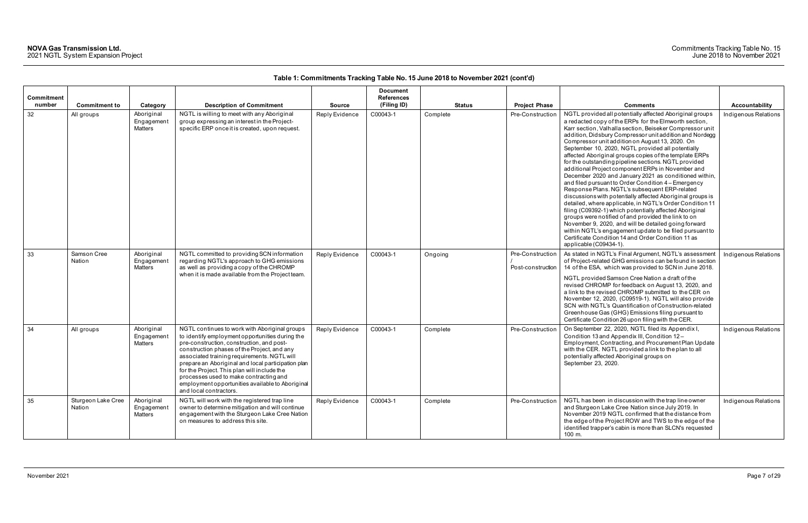| Commitment |                              |                                     |                                                                                                                                                                                                                                                                                                                                                                                                                                                                          |                | <b>Document</b><br><b>References</b> |               |                                       |                                                                                                                                                                                                                                                                                                                                                                                                                                                                                                                                                                                                                                                                                                                                                                                                                                                                                                                                                                                                                                                                                                                                         |                       |
|------------|------------------------------|-------------------------------------|--------------------------------------------------------------------------------------------------------------------------------------------------------------------------------------------------------------------------------------------------------------------------------------------------------------------------------------------------------------------------------------------------------------------------------------------------------------------------|----------------|--------------------------------------|---------------|---------------------------------------|-----------------------------------------------------------------------------------------------------------------------------------------------------------------------------------------------------------------------------------------------------------------------------------------------------------------------------------------------------------------------------------------------------------------------------------------------------------------------------------------------------------------------------------------------------------------------------------------------------------------------------------------------------------------------------------------------------------------------------------------------------------------------------------------------------------------------------------------------------------------------------------------------------------------------------------------------------------------------------------------------------------------------------------------------------------------------------------------------------------------------------------------|-----------------------|
| number     | <b>Commitment to</b>         | Category                            | <b>Description of Commitment</b>                                                                                                                                                                                                                                                                                                                                                                                                                                         | <b>Source</b>  | (Filing ID)                          | <b>Status</b> | <b>Project Phase</b>                  | <b>Comments</b>                                                                                                                                                                                                                                                                                                                                                                                                                                                                                                                                                                                                                                                                                                                                                                                                                                                                                                                                                                                                                                                                                                                         | <b>Accountability</b> |
| 32         | All groups                   | Aboriginal<br>Engagement<br>Matters | NGTL is willing to meet with any Aboriginal<br>group expressing an interest in the Project-<br>specific ERP once it is created, upon request.                                                                                                                                                                                                                                                                                                                            | Reply Evidence | C00043-1                             | Complete      | Pre-Construction                      | NGTL provided all potentially affected Aboriginal groups<br>a redacted copy of the ERPs for the Elmworth section,<br>Karr section, Valhalla section, Beiseker Compressor unit<br>addition, Didsbury Compressor unit addition and Nordegg<br>Compressor unit addition on August 13, 2020. On<br>September 10, 2020, NGTL provided all potentially<br>affected Aboriginal groups copies of the template ERPs<br>for the outstanding pipeline sections. NGTL provided<br>additional Project component ERPs in November and<br>December 2020 and January 2021 as conditioned within,<br>and filed pursuant to Order Condition 4 - Emergency<br>Response Plans. NGTL's subsequent ERP-related<br>discussions with potentially affected Aboriginal groups is<br>detailed, where applicable, in NGTL's Order Condition 11<br>filing (C09392-1) which potentially affected Aboriginal<br>groups were notified of and provided the link to on<br>November 9, 2020, and will be detailed going forward<br>within NGTL's engagement update to be filed pursuant to<br>Certificate Condition 14 and Order Condition 11 as<br>applicable (C09434-1). | Indigenous Relations  |
| 33         | Samson Cree<br>Nation        | Aboriginal<br>Engagement<br>Matters | NGTL committed to providing SCN information<br>regarding NGTL's approach to GHG emissions<br>as well as providing a copy of the CHROMP<br>when it is made available from the Project team.                                                                                                                                                                                                                                                                               | Reply Evidence | C00043-1                             | Ongoing       | Pre-Construction<br>Post-construction | As stated in NGTL's Final Argument, NGTL's assessment<br>of Project-related GHG emissions can be found in section<br>14 of the ESA, which was provided to SCN in June 2018.<br>NGTL provided Samson Cree Nation a draft of the<br>revised CHROMP for feedback on August 13, 2020, and<br>a link to the revised CHROMP submitted to the CER on<br>November 12, 2020, (C09519-1). NGTL will also provide<br>SCN with NGTL's Quantification of Construction-related<br>Greenhouse Gas (GHG) Emissions filing pursuant to<br>Certificate Condition 26 upon filing with the CER.                                                                                                                                                                                                                                                                                                                                                                                                                                                                                                                                                             | Indigenous Relations  |
| 34         | All groups                   | Aboriginal<br>Engagement<br>Matters | NGTL continues to work with Aboriginal groups<br>to identify employment opportunities during the<br>pre-construction, construction, and post-<br>construction phases of the Project, and any<br>associated training requirements. NGTL will<br>prepare an Aboriginal and local participation plan<br>for the Project. This plan will include the<br>processes used to make contracting and<br>employment opportunities available to Aboriginal<br>and local contractors. | Reply Evidence | C00043-1                             | Complete      | Pre-Construction                      | On September 22, 2020, NGTL filed its Appendix I,<br>Condition 13 and Appendix III, Condition 12-<br>Employment, Contracting, and Procurement Plan Update<br>with the CER. NGTL provided a link to the plan to all<br>potentially affected Aboriginal groups on<br>September 23, 2020.                                                                                                                                                                                                                                                                                                                                                                                                                                                                                                                                                                                                                                                                                                                                                                                                                                                  | Indigenous Relations  |
| 35         | Sturgeon Lake Cree<br>Nation | Aboriginal<br>Engagement<br>Matters | NGTL will work with the registered trap line<br>owner to determine mitigation and will continue<br>engagement with the Sturgeon Lake Cree Nation<br>on measures to address this site.                                                                                                                                                                                                                                                                                    | Reply Evidence | C00043-1                             | Complete      | Pre-Construction                      | NGTL has been in discussion with the trap line owner<br>and Sturgeon Lake Cree Nation since July 2019. In<br>November 2019 NGTL confirmed that the distance from<br>the edge of the Project ROW and TWS to the edge of the<br>identified trapper's cabin is more than SLCN's requested<br>100 m.                                                                                                                                                                                                                                                                                                                                                                                                                                                                                                                                                                                                                                                                                                                                                                                                                                        | Indigenous Relations  |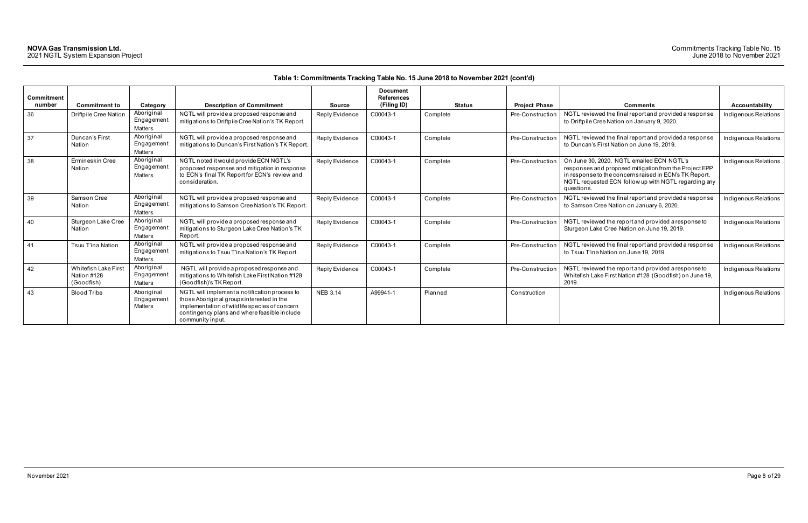| Commitment<br>number | <b>Commitment to</b>                                     | Category                                   | <b>Description of Commitment</b>                                                                                                                                                                                | <b>Source</b>   | <b>Document</b><br><b>References</b><br>(Filing ID) | <b>Status</b> | <b>Project Phase</b> | <b>Comments</b>                                                                                                                                                                                                                     | Accountability       |
|----------------------|----------------------------------------------------------|--------------------------------------------|-----------------------------------------------------------------------------------------------------------------------------------------------------------------------------------------------------------------|-----------------|-----------------------------------------------------|---------------|----------------------|-------------------------------------------------------------------------------------------------------------------------------------------------------------------------------------------------------------------------------------|----------------------|
| 36                   | Driftpile Cree Nation                                    | Aboriginal<br>Engagement<br><b>Matters</b> | NGTL will provide a proposed response and<br>mitigations to Driftpile Cree Nation's TK Report.                                                                                                                  | Reply Evidence  | C00043-1                                            | Complete      | Pre-Construction     | NGTL reviewed the final report and provided a response<br>to Driftpile Cree Nation on January 9, 2020.                                                                                                                              | Indigenous Relations |
| 37                   | Duncan's First<br>Nation                                 | Aboriginal<br>Engagement<br>Matters        | NGTL will provide a proposed response and<br>mitigations to Duncan's First Nation's TK Report                                                                                                                   | Reply Evidence  | C00043-1                                            | Complete      | Pre-Construction     | NGTL reviewed the final report and provided a response<br>to Duncan's First Nation on June 19, 2019.                                                                                                                                | Indigenous Relations |
| 38                   | Ermineskin Cree<br>Nation                                | Aboriginal<br>Engagement<br>Matters        | NGTL noted it would provide ECN NGTL's<br>proposed responses and mitigation in response<br>to ECN's final TK Report for ECN's review and<br>consideration.                                                      | Reply Evidence  | C00043-1                                            | Complete      | Pre-Construction     | On June 30, 2020, NGTL emailed ECN NGTL's<br>responses and proposed mitigation from the Project EPP<br>in response to the concerns raised in ECN's TK Report.<br>NGTL requested ECN follow up with NGTL regarding any<br>questions. | Indigenous Relations |
| 39                   | Samson Cree<br>Nation                                    | Aboriginal<br>Engagement<br><b>Matters</b> | NGTL will provide a proposed response and<br>mitigations to Samson Cree Nation's TK Report.                                                                                                                     | Reply Evidence  | C00043-1                                            | Complete      | Pre-Construction     | NGTL reviewed the final report and provided a response<br>to Samson Cree Nation on January 6, 2020.                                                                                                                                 | Indigenous Relations |
| 40                   | Sturgeon Lake Cree<br>Nation                             | Aboriginal<br>Engagement<br>Matters        | NGTL will provide a proposed response and<br>mitigations to Sturgeon Lake Cree Nation's TK<br>Report.                                                                                                           | Reply Evidence  | C00043-1                                            | Complete      | Pre-Construction     | NGTL reviewed the report and provided a response to<br>Sturgeon Lake Cree Nation on June 19, 2019.                                                                                                                                  | Indigenous Relations |
| 41                   | Tsuu T'ina Nation                                        | Aboriginal<br>Engagement<br><b>Matters</b> | NGTL will provide a proposed response and<br>mitigations to Tsuu T'ina Nation's TK Report.                                                                                                                      | Reply Evidence  | C00043-1                                            | Complete      | Pre-Construction     | NGTL reviewed the final report and provided a response<br>to Tsuu T'ina Nation on June 19, 2019.                                                                                                                                    | Indigenous Relations |
| 42                   | <b>Whitefish Lake First</b><br>Nation #128<br>(Goodfish) | Aboriginal<br>Engagement<br>Matters        | NGTL will provide a proposed response and<br>mitigations to Whitefish Lake First Nation #128<br>(Goodfish)'s TK Report.                                                                                         | Reply Evidence  | C00043-1                                            | Complete      | Pre-Construction     | NGTL reviewed the report and provided a response to<br>Whitefish Lake First Nation #128 (Goodfish) on June 19,<br>2019.                                                                                                             | Indigenous Relations |
| 43                   | <b>Blood Tribe</b>                                       | Aboriginal<br>Engagement<br>Matters        | NGTL will implement a notification process to<br>those Aboriginal groups interested in the<br>implementation of wildlife species of concern<br>contingency plans and where feasible include<br>community input. | <b>NEB 3.14</b> | A99941-1                                            | Planned       | Construction         |                                                                                                                                                                                                                                     | Indigenous Relations |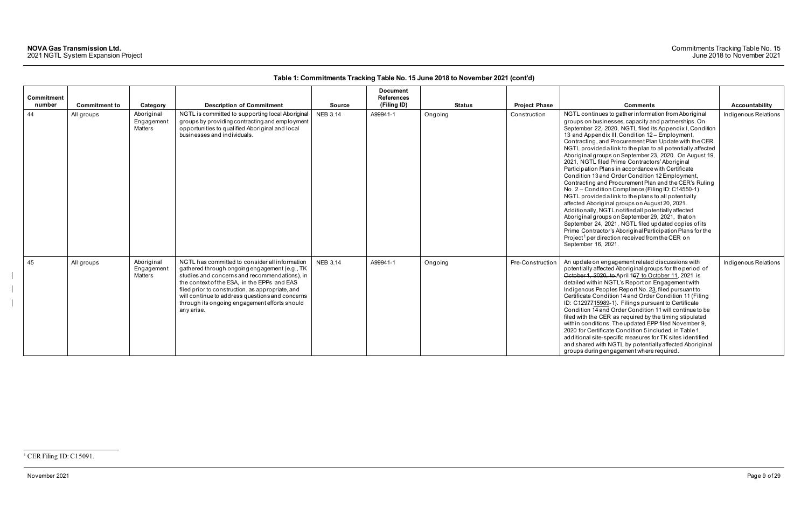November 2021 Page 9 of 29

<span id="page-9-0"></span>

|            |                      |                                            |                                                                                                                                                                                                                                                                                                                                                                       |                 | <b>Document</b>   |               |                      |                                                                                                                                                                                                                                                                                                                                                                                                                                                                                                                                                                                                                                                                                                                                                                                                                                                                                                                                                                                                                                                                                                                            |                      |
|------------|----------------------|--------------------------------------------|-----------------------------------------------------------------------------------------------------------------------------------------------------------------------------------------------------------------------------------------------------------------------------------------------------------------------------------------------------------------------|-----------------|-------------------|---------------|----------------------|----------------------------------------------------------------------------------------------------------------------------------------------------------------------------------------------------------------------------------------------------------------------------------------------------------------------------------------------------------------------------------------------------------------------------------------------------------------------------------------------------------------------------------------------------------------------------------------------------------------------------------------------------------------------------------------------------------------------------------------------------------------------------------------------------------------------------------------------------------------------------------------------------------------------------------------------------------------------------------------------------------------------------------------------------------------------------------------------------------------------------|----------------------|
| Commitment |                      |                                            |                                                                                                                                                                                                                                                                                                                                                                       |                 | <b>References</b> |               |                      |                                                                                                                                                                                                                                                                                                                                                                                                                                                                                                                                                                                                                                                                                                                                                                                                                                                                                                                                                                                                                                                                                                                            |                      |
| number     | <b>Commitment to</b> | Category                                   | <b>Description of Commitment</b>                                                                                                                                                                                                                                                                                                                                      | <b>Source</b>   | (Filing ID)       | <b>Status</b> | <b>Project Phase</b> | <b>Comments</b>                                                                                                                                                                                                                                                                                                                                                                                                                                                                                                                                                                                                                                                                                                                                                                                                                                                                                                                                                                                                                                                                                                            | Accountability       |
| 44         | All groups           | Aboriginal<br>Engagement<br><b>Matters</b> | NGTL is committed to supporting local Aboriginal<br>groups by providing contracting and employment<br>opportunities to qualified Aboriginal and local<br>businesses and individuals.                                                                                                                                                                                  | <b>NEB 3.14</b> | A99941-1          | Ongoing       | Construction         | NGTL continues to gather information from Aboriginal<br>groups on businesses, capacity and partnerships. On<br>September 22, 2020, NGTL filed its Appendix I, Condition<br>13 and Appendix III, Condition 12 - Employment,<br>Contracting, and Procurement Plan Update with the CER.<br>NGTL provided a link to the plan to all potentially affected<br>Aboriginal groups on September 23, 2020. On August 19,<br>2021, NGTL filed Prime Contractors' Aboriginal<br>Participation Plans in accordance with Certificate<br>Condition 13 and Order Condition 12 Employment,<br>Contracting and Procurement Plan and the CER's Ruling<br>No. 2 - Condition Compliance (Filing ID: C14550-1).<br>NGTL provided a link to the plans to all potentially<br>affected Aboriginal groups on August 20, 2021.<br>Additionally, NGTL notified all potentially affected<br>Aboriginal groups on September 29, 2021, that on<br>September 24, 2021, NGTL filed updated copies of its<br>Prime Contractor's Aboriginal Participation Plans for the<br>Project <sup>1</sup> per direction received from the CER on<br>September 16, 2021. | Indigenous Relations |
| 45         | All groups           | Aboriginal<br>Engagement<br><b>Matters</b> | NGTL has committed to consider all information<br>gathered through ongoing engagement (e.g., TK<br>studies and concerns and recommendations), in<br>the context of the ESA, in the EPPs and EAS<br>filed prior to construction, as appropriate, and<br>will continue to address questions and concerns<br>through its ongoing engagement efforts should<br>any arise. | <b>NEB 3.14</b> | A99941-1          | Ongoing       | Pre-Construction     | An update on engagement related discussions with<br>potentially affected Aboriginal groups for the period of<br>October 1, 2020, to April 167 to October 11, 2021 is<br>detailed within NGTL's Report on Engagement with<br>Indigenous Peoples Report No. 23, filed pursuant to<br>Certificate Condition 14 and Order Condition 11 (Filing<br>ID: C4297715989-1). Filings pursuant to Certificate<br>Condition 14 and Order Condition 11 will continue to be<br>filed with the CER as required by the timing stipulated<br>within conditions. The updated EPP filed November 9,<br>2020 for Certificate Condition 5 included, in Table 1,<br>additional site-specific measures for TK sites identified<br>and shared with NGTL by potentially affected Aboriginal<br>groups during engagement where required.                                                                                                                                                                                                                                                                                                              | Indigenous Relations |

<sup>&</sup>lt;sup>1</sup> CER Filing ID: C15091.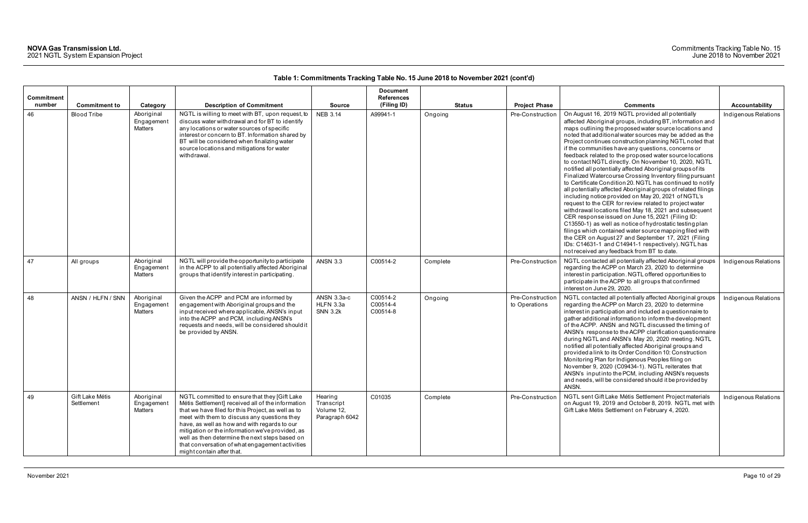| Commitment |                               |                                     |                                                                                                                                                                                                                                                                                                                                                                                                                                                |                                                       | <b>Document</b><br><b>References</b> |               |                                   |                                                                                                                                                                                                                                                                                                                                                                                                                                                                                                                                                                                                                                                                                                                                                                                                                                                                                                                                                                                                                                                                                                                                                                                                                                                |                      |
|------------|-------------------------------|-------------------------------------|------------------------------------------------------------------------------------------------------------------------------------------------------------------------------------------------------------------------------------------------------------------------------------------------------------------------------------------------------------------------------------------------------------------------------------------------|-------------------------------------------------------|--------------------------------------|---------------|-----------------------------------|------------------------------------------------------------------------------------------------------------------------------------------------------------------------------------------------------------------------------------------------------------------------------------------------------------------------------------------------------------------------------------------------------------------------------------------------------------------------------------------------------------------------------------------------------------------------------------------------------------------------------------------------------------------------------------------------------------------------------------------------------------------------------------------------------------------------------------------------------------------------------------------------------------------------------------------------------------------------------------------------------------------------------------------------------------------------------------------------------------------------------------------------------------------------------------------------------------------------------------------------|----------------------|
| number     | <b>Commitment to</b>          | Category                            | <b>Description of Commitment</b>                                                                                                                                                                                                                                                                                                                                                                                                               | <b>Source</b>                                         | (Filing ID)                          | <b>Status</b> | <b>Project Phase</b>              | <b>Comments</b>                                                                                                                                                                                                                                                                                                                                                                                                                                                                                                                                                                                                                                                                                                                                                                                                                                                                                                                                                                                                                                                                                                                                                                                                                                | Accountability       |
| 46         | <b>Blood Tribe</b>            | Aboriginal<br>Engagement<br>Matters | NGTL is willing to meet with BT, upon request, to<br>discuss water withdrawal and for BT to identify<br>any locations or water sources of specific<br>interest or concern to BT. Information shared by<br>BT will be considered when finalizing water<br>source locations and mitigations for water<br>withdrawal.                                                                                                                             | <b>NEB 3.14</b>                                       | A99941-1                             | Ongoing       | Pre-Construction                  | On August 16, 2019 NGTL provided all potentially<br>affected Aboriginal groups, including BT, information and<br>maps outlining the proposed water source locations and<br>noted that additional water sources may be added as the<br>Project continues construction planning NGTL noted that<br>if the communities have any questions, concerns or<br>feedback related to the proposed water source locations<br>to contact NGTL directly. On November 10, 2020, NGTL<br>notified all potentially affected Aboriginal groups of its<br>Finalized Watercourse Crossing Inventory filing pursuant<br>to Certificate Condition 20. NGTL has continued to notify<br>all potentially affected Aboriginal groups of related filings<br>including notice provided on May 20, 2021 of NGTL's<br>request to the CER for review related to project water<br>withdrawal locations filed May 18, 2021 and subsequent<br>CER response issued on June 15, 2021 (Filing ID:<br>C13550-1) as well as notice of hydrostatic testing plan<br>filings which contained water source mapping filed with<br>the CER on August 27 and September 17, 2021 (Filing<br>IDs: C14631-1 and C14941-1 respectively). NGTL has<br>not received any feedback from BT to date. | Indigenous Relations |
| 47         | All groups                    | Aboriginal<br>Engagement<br>Matters | NGTL will provide the opportunity to participate<br>in the ACPP to all potentially affected Aboriginal<br>groups that identify interest in participating.                                                                                                                                                                                                                                                                                      | <b>ANSN 3.3</b>                                       | C00514-2                             | Complete      | Pre-Construction                  | NGTL contacted all potentially affected Aboriginal groups<br>regarding the ACPP on March 23, 2020 to determine<br>interest in participation. NGTL offered opportunities to<br>participate in the ACPP to all groups that confirmed<br>interest on June 29, 2020.                                                                                                                                                                                                                                                                                                                                                                                                                                                                                                                                                                                                                                                                                                                                                                                                                                                                                                                                                                               | Indigenous Relations |
| 48         | ANSN / HLFN / SNN             | Aboriginal<br>Engagement<br>Matters | Given the ACPP and PCM are informed by<br>engagement with Aboriginal groups and the<br>input received where applicable, ANSN's input<br>into the ACPP and PCM, including ANSN's<br>requests and needs, will be considered should it<br>be provided by ANSN.                                                                                                                                                                                    | ANSN 3.3a-c<br>HLFN 3.3a<br><b>SNN 3.2k</b>           | C00514-2<br>C00514-4<br>C00514-8     | Ongoing       | Pre-Construction<br>to Operations | NGTL contacted all potentially affected Aboriginal groups<br>regarding the ACPP on March 23, 2020 to determine<br>interest in participation and included a questionnaire to<br>gather additional information to inform the development<br>of the ACPP. ANSN and NGTL discussed the timing of<br>ANSN's response to the ACPP clarification questionnaire<br>during NGTL and ANSN's May 20, 2020 meeting. NGTL<br>notified all potentially affected Aboriginal groups and<br>provided a link to its Order Condition 10: Construction<br>Monitoring Plan for Indigenous Peoples filing on<br>November 9, 2020 (C09434-1). NGTL reiterates that<br>ANSN's input into the PCM, including ANSN's requests<br>and needs, will be considered should it be provided by<br>ANSN.                                                                                                                                                                                                                                                                                                                                                                                                                                                                         | Indigenous Relations |
| 49         | Gift Lake Métis<br>Settlement | Aboriginal<br>Engagement<br>Matters | NGTL committed to ensure that they [Gift Lake<br>Métis Settlement] received all of the information<br>that we have filed for this Project, as well as to<br>meet with them to discuss any questions they<br>have, as well as how and with regards to our<br>mitigation or the information we've provided, as<br>well as then determine the next steps based on<br>that conversation of what engagement activities<br>might contain after that. | Hearing<br>Transcript<br>Volume 12,<br>Paragraph 6042 | C01035                               | Complete      | Pre-Construction                  | NGTL sent Gift Lake Métis Settlement Project materials<br>on August 19, 2019 and October 8, 2019. NGTL met with<br>Gift Lake Métis Settlement on February 4, 2020.                                                                                                                                                                                                                                                                                                                                                                                                                                                                                                                                                                                                                                                                                                                                                                                                                                                                                                                                                                                                                                                                             | Indigenous Relations |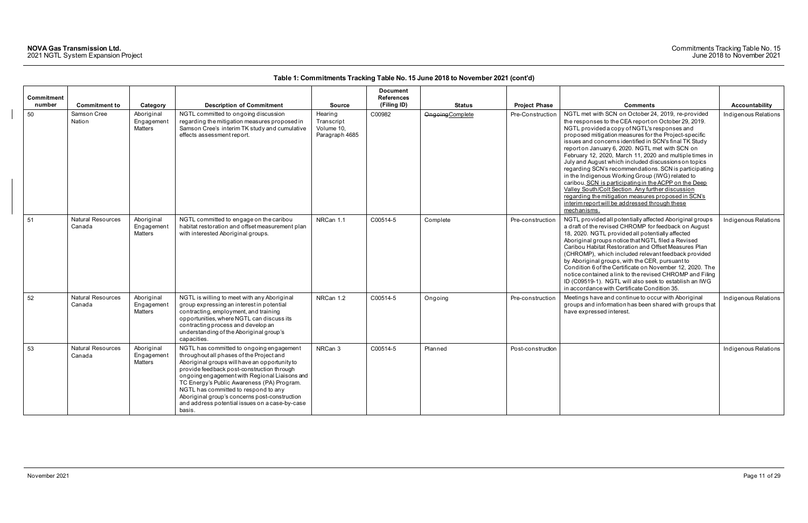|                      |                                    |                                            |                                                                                                                                                                                                                                                                                                                                                                                                                                         |                                                       | <b>Document</b>                  |                  |                      |                                                                                                                                                                                                                                                                                                                                                                                                                                                                                                                                                                                                                                                                                                                                                                                                        |                       |
|----------------------|------------------------------------|--------------------------------------------|-----------------------------------------------------------------------------------------------------------------------------------------------------------------------------------------------------------------------------------------------------------------------------------------------------------------------------------------------------------------------------------------------------------------------------------------|-------------------------------------------------------|----------------------------------|------------------|----------------------|--------------------------------------------------------------------------------------------------------------------------------------------------------------------------------------------------------------------------------------------------------------------------------------------------------------------------------------------------------------------------------------------------------------------------------------------------------------------------------------------------------------------------------------------------------------------------------------------------------------------------------------------------------------------------------------------------------------------------------------------------------------------------------------------------------|-----------------------|
| Commitment<br>number | <b>Commitment to</b>               | Category                                   | <b>Description of Commitment</b>                                                                                                                                                                                                                                                                                                                                                                                                        | <b>Source</b>                                         | <b>References</b><br>(Filing ID) | <b>Status</b>    | <b>Project Phase</b> | <b>Comments</b>                                                                                                                                                                                                                                                                                                                                                                                                                                                                                                                                                                                                                                                                                                                                                                                        | <b>Accountability</b> |
| 50                   | Samson Cree<br>Nation              | Aboriginal<br>Engagement<br>Matters        | NGTL committed to ongoing discussion<br>regarding the mitigation measures proposed in<br>Samson Cree's interim TK study and cumulative<br>effects assessment report.                                                                                                                                                                                                                                                                    | Hearing<br>Transcript<br>Volume 10,<br>Paragraph 4685 | C00982                           | Ongoing Complete | Pre-Construction     | NGTL met with SCN on October 24, 2019, re-provided<br>the responses to the CEA report on October 29, 2019.<br>NGTL provided a copy of NGTL's responses and<br>proposed mitigation measures for the Project-specific<br>issues and concerns identified in SCN's final TK Study<br>report on January 6, 2020. NGTL met with SCN on<br>February 12, 2020, March 11, 2020 and multiple times in<br>July and August which included discussions on topics<br>regarding SCN's recommendations. SCN is participating<br>in the Indigenous Working Group (IWG) related to<br>caribou. SCN is participating in the ACPP on the Deep<br>Valley South/Colt Section. Any further discussion<br>regarding the mitigation measures proposed in SCN's<br>interim report will be addressed through these<br>mechanisms. | Indigenous Relations  |
| 51                   | <b>Natural Resources</b><br>Canada | Aboriginal<br>Engagement<br><b>Matters</b> | NGTL committed to engage on the caribou<br>habitat restoration and offset measurement plan<br>with interested Aboriginal groups.                                                                                                                                                                                                                                                                                                        | NRCan 1.1                                             | C00514-5                         | Complete         | Pre-construction     | NGTL provided all potentially affected Aboriginal groups<br>a draft of the revised CHROMP for feedback on August<br>18, 2020. NGTL provided all potentially affected<br>Aboriginal groups notice that NGTL filed a Revised<br>Caribou Habitat Restoration and Offset Measures Plan<br>(CHROMP), which included relevant feedback provided<br>by Aboriginal groups, with the CER, pursuant to<br>Condition 6 of the Certificate on November 12, 2020. The<br>notice contained a link to the revised CHROMP and Filing<br>ID (C09519-1). NGTL will also seek to establish an IWG<br>in accordance with Certificate Condition 35.                                                                                                                                                                         | Indigenous Relations  |
| 52                   | <b>Natural Resources</b><br>Canada | Aboriginal<br>Engagement<br><b>Matters</b> | NGTL is willing to meet with any Aboriginal<br>group expressing an interest in potential<br>contracting, employment, and training<br>opportunities, where NGTL can discuss its<br>contracting process and develop an<br>understanding of the Aboriginal group's<br>capacities.                                                                                                                                                          | NRCan 1.2                                             | C00514-5                         | Ongoing          | Pre-construction     | Meetings have and continue to occur with Aboriginal<br>groups and information has been shared with groups that<br>have expressed interest.                                                                                                                                                                                                                                                                                                                                                                                                                                                                                                                                                                                                                                                             | Indigenous Relations  |
| 53                   | <b>Natural Resources</b><br>Canada | Aboriginal<br>Engagement<br>Matters        | NGTL has committed to ongoing engagement<br>throughout all phases of the Project and<br>Aboriginal groups will have an opportunity to<br>provide feedback post-construction through<br>ongoing engagement with Regional Liaisons and<br>TC Energy's Public Awareness (PA) Program.<br>NGTL has committed to respond to any<br>Aboriginal group's concerns post-construction<br>and address potential issues on a case-by-case<br>basis. | NRCan 3                                               | C00514-5                         | Planned          | Post-construction    |                                                                                                                                                                                                                                                                                                                                                                                                                                                                                                                                                                                                                                                                                                                                                                                                        | Indigenous Relations  |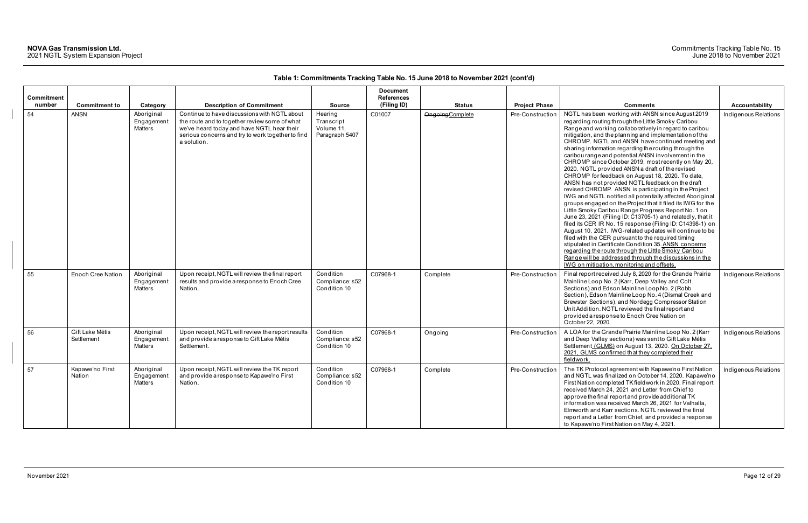| Commitment |                               |                                            |                                                                                                                                                                                                                 |                                                       | <b>Document</b><br><b>References</b> |                  |                      |                                                                                                                                                                                                                                                                                                                                                                                                                                                                                                                                                                                                                                                                                                                                                                                                                                                                                                                                                                                                                                                                                                                                                                                                                                                                                                                                    |                      |
|------------|-------------------------------|--------------------------------------------|-----------------------------------------------------------------------------------------------------------------------------------------------------------------------------------------------------------------|-------------------------------------------------------|--------------------------------------|------------------|----------------------|------------------------------------------------------------------------------------------------------------------------------------------------------------------------------------------------------------------------------------------------------------------------------------------------------------------------------------------------------------------------------------------------------------------------------------------------------------------------------------------------------------------------------------------------------------------------------------------------------------------------------------------------------------------------------------------------------------------------------------------------------------------------------------------------------------------------------------------------------------------------------------------------------------------------------------------------------------------------------------------------------------------------------------------------------------------------------------------------------------------------------------------------------------------------------------------------------------------------------------------------------------------------------------------------------------------------------------|----------------------|
| number     | <b>Commitment to</b>          | Category                                   | <b>Description of Commitment</b>                                                                                                                                                                                | <b>Source</b>                                         | (Filing ID)                          | <b>Status</b>    | <b>Project Phase</b> | <b>Comments</b>                                                                                                                                                                                                                                                                                                                                                                                                                                                                                                                                                                                                                                                                                                                                                                                                                                                                                                                                                                                                                                                                                                                                                                                                                                                                                                                    | Accountability       |
| 54         | <b>ANSN</b>                   | Aboriginal<br>Engagement<br><b>Matters</b> | Continue to have discussions with NGTL about<br>the route and to together review some of what<br>we've heard today and have NGTL hear their<br>serious concerns and try to work together to find<br>a solution. | Hearing<br>Transcript<br>Volume 11,<br>Paragraph 5407 | C01007                               | Ongoing Complete | Pre-Construction     | NGTL has been working with ANSN since August 2019<br>regarding routing through the Little Smoky Caribou<br>Range and working collaboratively in regard to caribou<br>mitigation, and the planning and implementation of the<br>CHROMP. NGTL and ANSN have continued meeting and<br>sharing information regarding the routing through the<br>caribou range and potential ANSN involvement in the<br>CHROMP since October 2019, most recently on May 20,<br>2020. NGTL provided ANSN a draft of the revised<br>CHROMP for feedback on August 18, 2020. To date,<br>ANSN has not provided NGTL feedback on the draft<br>revised CHROMP. ANSN is participating in the Project<br>IWG and NGTL notified all potentially affected Aboriginal<br>groups engaged on the Project that it filed its IWG for the<br>Little Smoky Caribou Range Progress Report No. 1 on<br>June 23, 2021 (Filing ID: C13705-1) and relatedly, that it<br>filed its CER IR No. 15 response (Filing ID: C14398-1) on<br>August 10, 2021. IWG-related updates will continue to be<br>filed with the CER pursuant to the required timing<br>stipulated in Certificate Condition 35. ANSN concerns<br>regarding the route through the Little Smoky Caribou<br>Range will be addressed through the discussions in the<br>IWG on mitigation, monitoring and offsets. | Indigenous Relations |
| 55         | <b>Enoch Cree Nation</b>      | Aboriginal<br>Engagement<br><b>Matters</b> | Upon receipt, NGTL will review the final report<br>results and provide a response to Enoch Cree<br>Nation.                                                                                                      | Condition<br>Compliance: s52<br>Condition 10          | C07968-1                             | Complete         | Pre-Construction     | Final report received July 8, 2020 for the Grande Prairie<br>Mainline Loop No. 2 (Karr, Deep Valley and Colt<br>Sections) and Edson Mainline Loop No. 2 (Robb<br>Section), Edson Mainline Loop No. 4 (Dismal Creek and<br>Brewster Sections), and Nordegg Compressor Station<br>Unit Addition. NGTL reviewed the final report and<br>provided a response to Enoch Cree Nation on<br>October 22, 2020.                                                                                                                                                                                                                                                                                                                                                                                                                                                                                                                                                                                                                                                                                                                                                                                                                                                                                                                              | Indigenous Relations |
| 56         | Gift Lake Métis<br>Settlement | Aboriginal<br>Engagement<br>Matters        | Upon receipt, NGTL will review the report results<br>and provide a response to Gift Lake Métis<br>Settlement.                                                                                                   | Condition<br>Compliance: s52<br>Condition 10          | C07968-1                             | Ongoing          | Pre-Construction     | A LOA for the Grande Prairie Mainline Loop No. 2 (Karr<br>and Deep Valley sections) was sent to Gift Lake Métis<br>Settlement (GLMS) on August 13, 2020. On October 27,<br>2021. GLMS confirmed that they completed their<br>fieldwork.                                                                                                                                                                                                                                                                                                                                                                                                                                                                                                                                                                                                                                                                                                                                                                                                                                                                                                                                                                                                                                                                                            | Indigenous Relations |
| 57         | Kapawe'no First<br>Nation     | Aboriginal<br>Engagement<br><b>Matters</b> | Upon receipt, NGTL will review the TK report<br>and provide a response to Kapawe'no First<br>Nation.                                                                                                            | Condition<br>Compliance: s52<br>Condition 10          | C07968-1                             | Complete         | Pre-Construction     | The TK Protocol agreement with Kapawe'no First Nation<br>and NGTL was finalized on October 14, 2020. Kapawe'no<br>First Nation completed TK fieldwork in 2020. Final report<br>received March 24, 2021 and Letter from Chief to<br>approve the final report and provide additional TK<br>information was received March 26, 2021 for Valhalla,<br>Elmworth and Karr sections. NGTL reviewed the final<br>report and a Letter from Chief, and provided a response<br>to Kapawe'no First Nation on May 4, 2021.                                                                                                                                                                                                                                                                                                                                                                                                                                                                                                                                                                                                                                                                                                                                                                                                                      | Indigenous Relations |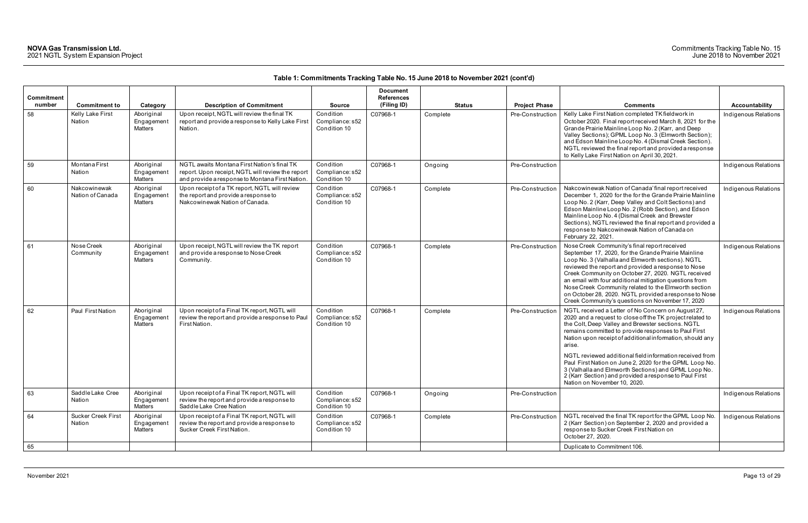| Commitment |                                     |                                     |                                                                                                                                                     |                                              | <b>Document</b><br><b>References</b> |               |                      |                                                                                                                                                                                                                                                                                                                                                                                                                                                                                                                                                                              |                      |
|------------|-------------------------------------|-------------------------------------|-----------------------------------------------------------------------------------------------------------------------------------------------------|----------------------------------------------|--------------------------------------|---------------|----------------------|------------------------------------------------------------------------------------------------------------------------------------------------------------------------------------------------------------------------------------------------------------------------------------------------------------------------------------------------------------------------------------------------------------------------------------------------------------------------------------------------------------------------------------------------------------------------------|----------------------|
| number     | <b>Commitment to</b>                | Category                            | <b>Description of Commitment</b>                                                                                                                    | <b>Source</b>                                | (Filing ID)                          | <b>Status</b> | <b>Project Phase</b> | <b>Comments</b>                                                                                                                                                                                                                                                                                                                                                                                                                                                                                                                                                              | Accountability       |
| 58         | Kelly Lake First<br>Nation          | Aboriginal<br>Engagement<br>Matters | Upon receipt, NGTL will review the final TK<br>report and provide a response to Kelly Lake First<br>Nation.                                         | Condition<br>Compliance: s52<br>Condition 10 | C07968-1                             | Complete      | Pre-Construction     | Kelly Lake First Nation completed TK fieldwork in<br>October 2020. Final report received March 8, 2021 for the<br>Grande Prairie Mainline Loop No. 2 (Karr, and Deep<br>Valley Sections); GPML Loop No. 3 (Elmworth Section);<br>and Edson Mainline Loop No. 4 (Dismal Creek Section).<br>NGTL reviewed the final report and provided a response<br>to Kelly Lake First Nation on April 30, 2021.                                                                                                                                                                            | Indigenous Relations |
| 59         | Montana First<br>Nation             | Aboriginal<br>Engagement<br>Matters | NGTL awaits Montana First Nation's final TK<br>report. Upon receipt, NGTL will review the report<br>and provide a response to Montana First Nation. | Condition<br>Compliance: s52<br>Condition 10 | C07968-1                             | Ongoing       | Pre-Construction     |                                                                                                                                                                                                                                                                                                                                                                                                                                                                                                                                                                              | Indigenous Relations |
| 60         | Nakcowinewak<br>Nation of Canada    | Aboriginal<br>Engagement<br>Matters | Upon receipt of a TK report, NGTL will review<br>the report and provide a response to<br>Nakcowinewak Nation of Canada.                             | Condition<br>Compliance: s52<br>Condition 10 | C07968-1                             | Complete      | Pre-Construction     | Nakcowinewak Nation of Canada' final report received<br>December 1, 2020 for the for the Grande Prairie Mainline<br>Loop No. 2 (Karr, Deep Valley and Colt Sections) and<br>Edson Mainline Loop No. 2 (Robb Section), and Edson<br>Mainline Loop No. 4 (Dismal Creek and Brewster<br>Sections), NGTL reviewed the final report and provided a<br>response to Nakcowinewak Nation of Canada on<br>February 22, 2021.                                                                                                                                                          | Indigenous Relations |
| 61         | Nose Creek<br>Community             | Aboriginal<br>Engagement<br>Matters | Upon receipt, NGTL will review the TK report<br>and provide a response to Nose Creek<br>Community.                                                  | Condition<br>Compliance: s52<br>Condition 10 | C07968-1                             | Complete      | Pre-Construction     | Nose Creek Community's final report received<br>September 17, 2020, for the Grande Prairie Mainline<br>Loop No. 3 (Valhalla and Elmworth sections). NGTL<br>reviewed the report and provided a response to Nose<br>Creek Community on October 27, 2020. NGTL received<br>an email with four additional mitigation questions from<br>Nose Creek Community related to the Elmworth section<br>on October 28, 2020. NGTL provided a response to Nose<br>Creek Community's questions on November 17, 2020                                                                        | Indigenous Relations |
| 62         | Paul First Nation                   | Aboriginal<br>Engagemen<br>Matters  | Upon receipt of a Final TK report, NGTL will<br>review the report and provide a response to Paul<br>First Nation.                                   | Condition<br>Compliance: s52<br>Condition 10 | C07968-1                             | Complete      | Pre-Construction     | NGTL received a Letter of No Concern on August 27,<br>2020 and a request to close off the TK project related to<br>the Colt, Deep Valley and Brewster sections. NGTL<br>remains committed to provide responses to Paul First<br>Nation upon receipt of additional information, should any<br>arise.<br>NGTL reviewed additional field information received from<br>Paul First Nation on June 2, 2020 for the GPML Loop No.<br>3 (Valhalla and Elmworth Sections) and GPML Loop No.<br>2 (Karr Section) and provided a response to Paul First<br>Nation on November 10, 2020. | Indigenous Relations |
| 63         | Saddle Lake Cree<br>Nation          | Aboriginal<br>Engagement<br>Matters | Upon receipt of a Final TK report, NGTL will<br>review the report and provide a response to<br>Saddle Lake Cree Nation                              | Condition<br>Compliance: s52<br>Condition 10 | C07968-1                             | Ongoing       | Pre-Construction     |                                                                                                                                                                                                                                                                                                                                                                                                                                                                                                                                                                              | Indigenous Relations |
| 64         | <b>Sucker Creek First</b><br>Nation | Aboriginal<br>Engagement<br>Matters | Upon receipt of a Final TK report, NGTL will<br>review the report and provide a response to<br>Sucker Creek First Nation.                           | Condition<br>Compliance: s52<br>Condition 10 | C07968-1                             | Complete      | Pre-Construction     | NGTL received the final TK report for the GPML Loop No.<br>2 (Karr Section) on September 2, 2020 and provided a<br>response to Sucker Creek First Nation on<br>October 27, 2020.                                                                                                                                                                                                                                                                                                                                                                                             | Indigenous Relations |
| 65         |                                     |                                     |                                                                                                                                                     |                                              |                                      |               |                      | Duplicate to Commitment 106.                                                                                                                                                                                                                                                                                                                                                                                                                                                                                                                                                 |                      |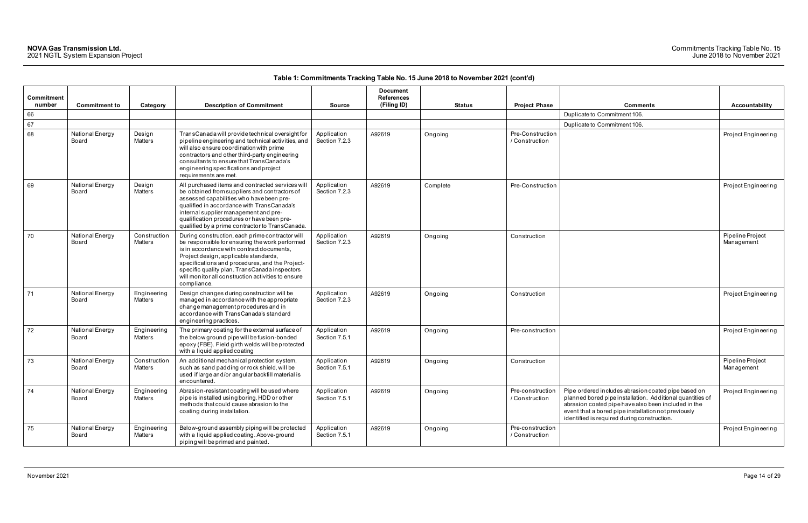| <b>Comments</b>                                                                                                                                                                                                                                                               | <b>Accountability</b>          |
|-------------------------------------------------------------------------------------------------------------------------------------------------------------------------------------------------------------------------------------------------------------------------------|--------------------------------|
| Duplicate to Commitment 106.                                                                                                                                                                                                                                                  |                                |
| Duplicate to Commitment 106.                                                                                                                                                                                                                                                  |                                |
|                                                                                                                                                                                                                                                                               | Project Engineering            |
|                                                                                                                                                                                                                                                                               | Project Engineering            |
|                                                                                                                                                                                                                                                                               | Pipeline Project<br>Management |
|                                                                                                                                                                                                                                                                               | Project Engineering            |
|                                                                                                                                                                                                                                                                               | Project Engineering            |
|                                                                                                                                                                                                                                                                               | Pipeline Project<br>Management |
| Pipe ordered includes abrasion coated pipe based on<br>planned bored pipe installation. Additional quantities of<br>abrasion coated pipe have also been included in the<br>event that a bored pipe installation not previously<br>identified is required during construction. | Project Engineering            |
|                                                                                                                                                                                                                                                                               | Project Engineering            |

| Commitment<br>number |                          |                         | <b>Description of Commitment</b>                                                                                                                                                                                                                                                                                                                                  |                              | <b>Document</b><br><b>References</b><br>(Filing ID) |               |                                    | <b>Comments</b>                                                                                                                                                                                                                                                               |                                |
|----------------------|--------------------------|-------------------------|-------------------------------------------------------------------------------------------------------------------------------------------------------------------------------------------------------------------------------------------------------------------------------------------------------------------------------------------------------------------|------------------------------|-----------------------------------------------------|---------------|------------------------------------|-------------------------------------------------------------------------------------------------------------------------------------------------------------------------------------------------------------------------------------------------------------------------------|--------------------------------|
| 66                   | <b>Commitment to</b>     | Category                |                                                                                                                                                                                                                                                                                                                                                                   | <b>Source</b>                |                                                     | <b>Status</b> | <b>Project Phase</b>               | Duplicate to Commitment 106.                                                                                                                                                                                                                                                  | Accountability                 |
| 67                   |                          |                         |                                                                                                                                                                                                                                                                                                                                                                   |                              |                                                     |               |                                    | Duplicate to Commitment 106.                                                                                                                                                                                                                                                  |                                |
| 68                   | National Energy<br>Board | Design<br>Matters       | TransCanada will provide technical oversight for<br>pipeline engineering and technical activities, and<br>will also ensure coordination with prime<br>contractors and other third-party engineering<br>consultants to ensure that TransCanada's<br>engineering specifications and project<br>requirements are met.                                                | Application<br>Section 7.2.3 | A92619                                              | Ongoing       | Pre-Construction<br>/ Construction |                                                                                                                                                                                                                                                                               | Project Engineering            |
| 69                   | National Energy<br>Board | Design<br>Matters       | All purchased items and contracted services will<br>be obtained from suppliers and contractors of<br>assessed capabilities who have been pre-<br>qualified in accordance with TransCanada's<br>internal supplier management and pre-<br>qualification procedures or have been pre-<br>qualified by a prime contractor to TransCanada.                             | Application<br>Section 7.2.3 | A92619                                              | Complete      | Pre-Construction                   |                                                                                                                                                                                                                                                                               | Project Engineering            |
| 70                   | National Energy<br>Board | Construction<br>Matters | During construction, each prime contractor will<br>be responsible for ensuring the work performed<br>is in accordance with contract documents,<br>Project design, applicable standards,<br>specifications and procedures, and the Project-<br>specific quality plan. Trans Canada inspectors<br>will monitor all construction activities to ensure<br>compliance. | Application<br>Section 7.2.3 | A92619                                              | Ongoing       | Construction                       |                                                                                                                                                                                                                                                                               | Pipeline Project<br>Management |
| 71                   | National Energy<br>Board | Engineering<br>Matters  | Design changes during construction will be<br>managed in accordance with the appropriate<br>change management procedures and in<br>accordance with TransCanada's standard<br>engineering practices.                                                                                                                                                               | Application<br>Section 7.2.3 | A92619                                              | Ongoing       | Construction                       |                                                                                                                                                                                                                                                                               | Project Engineering            |
| 72                   | National Energy<br>Board | Engineering<br>Matters  | The primary coating for the external surface of<br>the below ground pipe will be fusion-bonded<br>epoxy (FBE). Field girth welds will be protected<br>with a liquid applied coating                                                                                                                                                                               | Application<br>Section 7.5.1 | A92619                                              | Ongoing       | Pre-construction                   |                                                                                                                                                                                                                                                                               | Project Engineering            |
| 73                   | National Energy<br>Board | Construction<br>Matters | An additional mechanical protection system,<br>such as sand padding or rock shield, will be<br>used if large and/or angular backfill material is<br>encountered.                                                                                                                                                                                                  | Application<br>Section 7.5.1 | A92619                                              | Ongoing       | Construction                       |                                                                                                                                                                                                                                                                               | Pipeline Project<br>Management |
| 74                   | National Energy<br>Board | Engineering<br>Matters  | Abrasion-resistant coating will be used where<br>pipe is installed using boring, HDD or other<br>methods that could cause abrasion to the<br>coating during installation.                                                                                                                                                                                         | Application<br>Section 7.5.1 | A92619                                              | Ongoing       | Pre-construction<br>/ Construction | Pipe ordered includes abrasion coated pipe based on<br>planned bored pipe installation. Additional quantities of<br>abrasion coated pipe have also been included in the<br>event that a bored pipe installation not previously<br>identified is required during construction. | Project Engineering            |
| 75                   | National Energy<br>Board | Engineering<br>Matters  | Below-ground assembly piping will be protected<br>with a liquid applied coating. Above-ground<br>piping will be primed and painted.                                                                                                                                                                                                                               | Application<br>Section 7.5.1 | A92619                                              | Ongoing       | Pre-construction<br>/ Construction |                                                                                                                                                                                                                                                                               | Project Engineering            |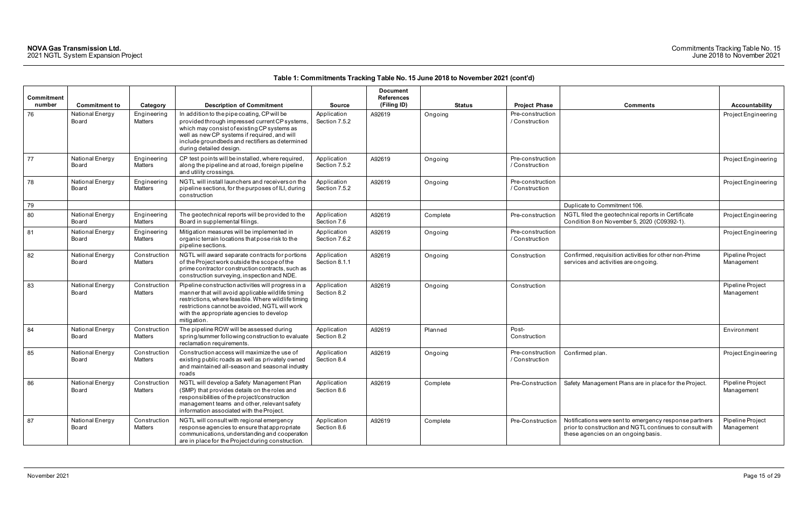| <b>Commitment</b><br>number | <b>Commitment to</b>     | Category                      | <b>Description of Commitment</b>                                                                                                                                                                                                                                             | <b>Source</b>                | <b>Document</b><br><b>References</b><br>(Filing ID) | <b>Status</b> | <b>Project Phase</b>               | <b>Comments</b>                                                                                                                                           | Accountability                 |
|-----------------------------|--------------------------|-------------------------------|------------------------------------------------------------------------------------------------------------------------------------------------------------------------------------------------------------------------------------------------------------------------------|------------------------------|-----------------------------------------------------|---------------|------------------------------------|-----------------------------------------------------------------------------------------------------------------------------------------------------------|--------------------------------|
| 76                          | National Energy<br>Board | Engineering<br>Matters        | In addition to the pipe coating, CP will be<br>provided through impressed current CP systems,<br>which may consist of existing CP systems as<br>well as new CP systems if required, and will<br>include groundbeds and rectifiers as determined<br>during detailed design.   | Application<br>Section 7.5.2 | A92619                                              | Ongoing       | Pre-construction<br>/ Construction |                                                                                                                                                           | Project Engineerin             |
| 77                          | National Energy<br>Board | Engineering<br>Matters        | CP test points will be installed, where required,<br>along the pipeline and at road, foreign pipeline<br>and utility crossings.                                                                                                                                              | Application<br>Section 7.5.2 | A92619                                              | Ongoing       | Pre-construction<br>/ Construction |                                                                                                                                                           | Project Engineerin             |
| 78                          | National Energy<br>Board | Engineering<br><b>Matters</b> | NGTL will install launchers and receivers on the<br>pipeline sections, for the purposes of ILI, during<br>construction                                                                                                                                                       | Application<br>Section 7.5.2 | A92619                                              | Ongoing       | Pre-construction<br>/ Construction |                                                                                                                                                           | Project Engineerin             |
| 79                          |                          |                               |                                                                                                                                                                                                                                                                              |                              |                                                     |               |                                    | Duplicate to Commitment 106.                                                                                                                              |                                |
| 80                          | National Energy<br>Board | Engineering<br>Matters        | The geotechnical reports will be provided to the<br>Board in supplemental filings.                                                                                                                                                                                           | Application<br>Section 7.6   | A92619                                              | Complete      | Pre-construction                   | NGTL filed the geotechnical reports in Certificate<br>Condition 8 on November 5, 2020 (C09392-1).                                                         | Project Engineerin             |
| 81                          | National Energy<br>Board | Engineering<br>Matters        | Mitigation measures will be implemented in<br>organic terrain locations that pose risk to the<br>pipeline sections.                                                                                                                                                          | Application<br>Section 7.6.2 | A92619                                              | Ongoing       | Pre-construction<br>/ Construction |                                                                                                                                                           | Project Engineerin             |
| 82                          | National Energy<br>Board | Construction<br>Matters       | NGTL will award separate contracts for portions<br>of the Project work outside the scope of the<br>prime contractor construction contracts, such as<br>construction surveying, inspection and NDE.                                                                           | Application<br>Section 8.1.1 | A92619                                              | Ongoing       | Construction                       | Confirmed, requisition activities for other non-Prime<br>services and activities are ongoing.                                                             | Pipeline Project<br>Management |
| 83                          | National Energy<br>Board | Construction<br>Matters       | Pipeline construction activities will progress in a<br>manner that will avoid applicable wildlife timing<br>restrictions, where feasible. Where wildlife timing<br>restrictions cannot be avoided, NGTL will work<br>with the appropriate agencies to develop<br>mitigation. | Application<br>Section 8.2   | A92619                                              | Ongoing       | Construction                       |                                                                                                                                                           | Pipeline Project<br>Management |
| 84                          | National Energy<br>Board | Construction<br>Matters       | The pipeline ROW will be assessed during<br>spring/summer following construction to evaluate<br>reclamation requirements.                                                                                                                                                    | Application<br>Section 8.2   | A92619                                              | Planned       | Post-<br>Construction              |                                                                                                                                                           | Environment                    |
| 85                          | National Energy<br>Board | Construction<br>Matters       | Construction access will maximize the use of<br>existing public roads as well as privately owned<br>and maintained all-season and seasonal industry<br>roads                                                                                                                 | Application<br>Section 8.4   | A92619                                              | Ongoing       | Pre-construction<br>/ Construction | Confirmed plan.                                                                                                                                           | Project Engineerin             |
| 86                          | National Energy<br>Board | Construction<br>Matters       | NGTL will develop a Safety Management Plan<br>(SMP) that provides details on the roles and<br>responsibilities of the project/construction<br>management teams and other, relevant safety<br>information associated with the Project.                                        | Application<br>Section 8.6   | A92619                                              | Complete      |                                    | Pre-Construction   Safety Management Plans are in place for the Project.                                                                                  | Pipeline Project<br>Management |
| 87                          | National Energy<br>Board | Construction<br>Matters       | NGTL will consult with regional emergency<br>response agencies to ensure that appropriate<br>communications, understanding and cooperation<br>are in place for the Project during construction.                                                                              | Application<br>Section 8.6   | A92619                                              | Complete      | Pre-Construction                   | Notifications were sent to emergency response partners<br>prior to construction and NGTL continues to consult with<br>these agencies on an ongoing basis. | Pipeline Project<br>Management |

| <b>Comments</b>                                                                                                                                           | <b>Accountability</b>          |
|-----------------------------------------------------------------------------------------------------------------------------------------------------------|--------------------------------|
|                                                                                                                                                           | Project Engineering            |
|                                                                                                                                                           | Project Engineering            |
|                                                                                                                                                           | Project Engineering            |
| Duplicate to Commitment 106.                                                                                                                              |                                |
| NGTL filed the geotechnical reports in Certificate<br>Condition 8 on November 5, 2020 (C09392-1).                                                         | Project Engineering            |
|                                                                                                                                                           | Project Engineering            |
| Confirmed, requisition activities for other non-Prime<br>services and activities are ongoing.                                                             | Pipeline Project<br>Management |
|                                                                                                                                                           | Pipeline Project<br>Management |
|                                                                                                                                                           | Environment                    |
| Confirmed plan.                                                                                                                                           | Project Engineering            |
| Safety Management Plans are in place for the Project.                                                                                                     | Pipeline Project<br>Management |
| Notifications were sent to emergency response partners<br>prior to construction and NGTL continues to consult with<br>these agencies on an ongoing basis. | Pipeline Project<br>Management |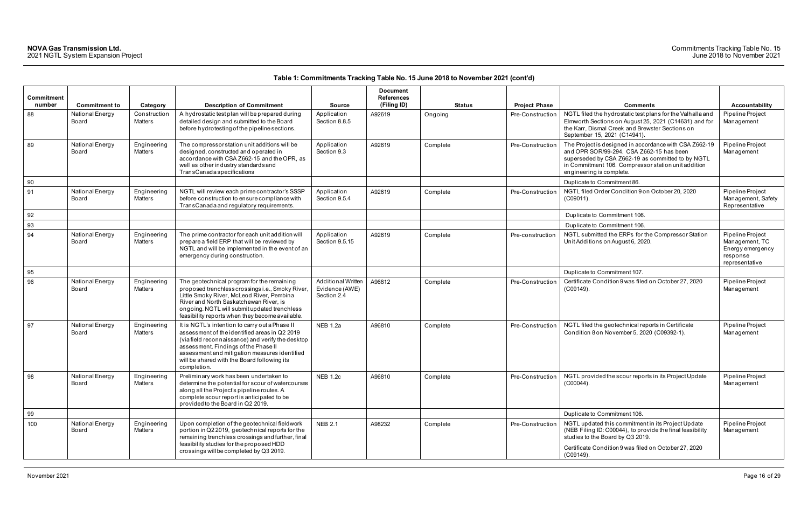|                      |                          |                               |                                                                                                                                                                                                                                                                                                             |                                                            | <b>Document</b>                  |               |                      |                                                                                                                                                                                                                                            |                                                                                      |
|----------------------|--------------------------|-------------------------------|-------------------------------------------------------------------------------------------------------------------------------------------------------------------------------------------------------------------------------------------------------------------------------------------------------------|------------------------------------------------------------|----------------------------------|---------------|----------------------|--------------------------------------------------------------------------------------------------------------------------------------------------------------------------------------------------------------------------------------------|--------------------------------------------------------------------------------------|
| Commitment<br>number | <b>Commitment to</b>     | Category                      | <b>Description of Commitment</b>                                                                                                                                                                                                                                                                            | <b>Source</b>                                              | <b>References</b><br>(Filing ID) | <b>Status</b> | <b>Project Phase</b> | <b>Comments</b>                                                                                                                                                                                                                            | Accountability                                                                       |
| 88                   | National Energy<br>Board | Construction<br>Matters       | A hydrostatic test plan will be prepared during<br>detailed design and submitted to the Board<br>before hydrotesting of the pipeline sections.                                                                                                                                                              | Application<br>Section 8.8.5                               | A92619                           | Ongoing       | Pre-Construction     | NGTL filed the hydrostatic test plans for the Valhalla and<br>Elmworth Sections on August 25, 2021 (C14631) and for<br>the Karr, Dismal Creek and Brewster Sections on<br>September 15, 2021 (C14941).                                     | Pipeline Project<br>Management                                                       |
| 89                   | National Energy<br>Board | Engineering<br><b>Matters</b> | The compressor station unit additions will be<br>designed, constructed and operated in<br>accordance with CSA Z662-15 and the OPR, as<br>well as other industry standards and<br><b>TransCanada specifications</b>                                                                                          | Application<br>Section 9.3                                 | A92619                           | Complete      | Pre-Construction     | The Project is designed in accordance with CSA Z662-19<br>and OPR SOR/99-294. CSA Z662-15 has been<br>superseded by CSA Z662-19 as committed to by NGTL<br>in Commitment 106. Compressor station unit addition<br>engineering is complete. | Pipeline Project<br>Management                                                       |
| 90                   |                          |                               |                                                                                                                                                                                                                                                                                                             |                                                            |                                  |               |                      | Duplicate to Commitment 86.                                                                                                                                                                                                                |                                                                                      |
| 91                   | National Energy<br>Board | Engineering<br>Matters        | NGTL will review each prime contractor's SSSP<br>before construction to ensure compliance with<br>TransCanada and regulatory requirements.                                                                                                                                                                  | Application<br>Section 9.5.4                               | A92619                           | Complete      | Pre-Construction     | NGTL filed Order Condition 9 on October 20, 2020<br>(C09011).                                                                                                                                                                              | Pipeline Project<br>Management, Safety<br>Representative                             |
| 92                   |                          |                               |                                                                                                                                                                                                                                                                                                             |                                                            |                                  |               |                      | Duplicate to Commitment 106.                                                                                                                                                                                                               |                                                                                      |
| 93                   |                          |                               |                                                                                                                                                                                                                                                                                                             |                                                            |                                  |               |                      | Duplicate to Commitment 106.                                                                                                                                                                                                               |                                                                                      |
| 94                   | National Energy<br>Board | Engineering<br>Matters        | The prime contractor for each unit addition will<br>prepare a field ERP that will be reviewed by<br>NGTL and will be implemented in the event of an<br>emergency during construction.                                                                                                                       | Application<br>Section 9.5.15                              | A92619                           | Complete      | Pre-construction     | NGTL submitted the ERPs for the Compressor Station<br>Unit Additions on August 6, 2020.                                                                                                                                                    | Pipeline Project<br>Management, TC<br>Energy emergency<br>response<br>representative |
| 95                   |                          |                               |                                                                                                                                                                                                                                                                                                             |                                                            |                                  |               |                      | Duplicate to Commitment 107.                                                                                                                                                                                                               |                                                                                      |
| 96                   | National Energy<br>Board | Engineering<br>Matters        | The geotechnical program for the remaining<br>proposed trenchless crossings i.e., Smoky River,<br>Little Smoky River, McLeod River, Pembina<br>River and North Saskatchewan River, is<br>ongoing. NGTL will submit updated trenchless<br>feasibility reports when they become available.                    | <b>Additional Written</b><br>Evidence (AWE)<br>Section 2.4 | A96812                           | Complete      | Pre-Construction     | Certificate Condition 9 was filed on October 27, 2020<br>(C09149).                                                                                                                                                                         | Pipeline Project<br>Management                                                       |
| 97                   | National Energy<br>Board | Engineering<br>Matters        | It is NGTL's intention to carry out a Phase II<br>assessment of the identified areas in Q2 2019<br>(via field reconnaissance) and verify the desktop<br>assessment. Findings of the Phase II<br>assessment and mitigation measures identified<br>will be shared with the Board following its<br>completion. | <b>NEB 1.2a</b>                                            | A96810                           | Complete      | Pre-Construction     | NGTL filed the geotechnical reports in Certificate<br>Condition 8 on November 5, 2020 (C09392-1).                                                                                                                                          | Pipeline Project<br>Management                                                       |
| 98                   | National Energy<br>Board | Engineering<br>Matters        | Preliminary work has been undertaken to<br>determine the potential for scour of watercourses<br>along all the Project's pipeline routes. A<br>complete scour report is anticipated to be<br>provided to the Board in Q2 2019.                                                                               | <b>NEB 1.2c</b>                                            | A96810                           | Complete      | Pre-Construction     | NGTL provided the scour reports in its Project Update<br>$(C00044)$ .                                                                                                                                                                      | Pipeline Project<br>Management                                                       |
| 99                   |                          |                               |                                                                                                                                                                                                                                                                                                             |                                                            |                                  |               |                      | Duplicate to Commitment 106.                                                                                                                                                                                                               |                                                                                      |
| 100                  | National Energy<br>Board | Engineering<br>Matters        | Upon completion of the geotechnical fieldwork<br>portion in Q2 2019, geotechnical reports for the<br>remaining trenchless crossings and further, final<br>feasibility studies for the proposed HDD<br>crossings will be completed by Q3 2019.                                                               | <b>NEB 2.1</b>                                             | A98232                           | Complete      | Pre-Construction     | NGTL updated this commitment in its Project Update<br>(NEB Filing ID: C00044), to provide the final feasibility<br>studies to the Board by Q3 2019.<br>Certificate Condition 9 was filed on October 27, 2020<br>$(C09149)$ .               | Pipeline Project<br>Management                                                       |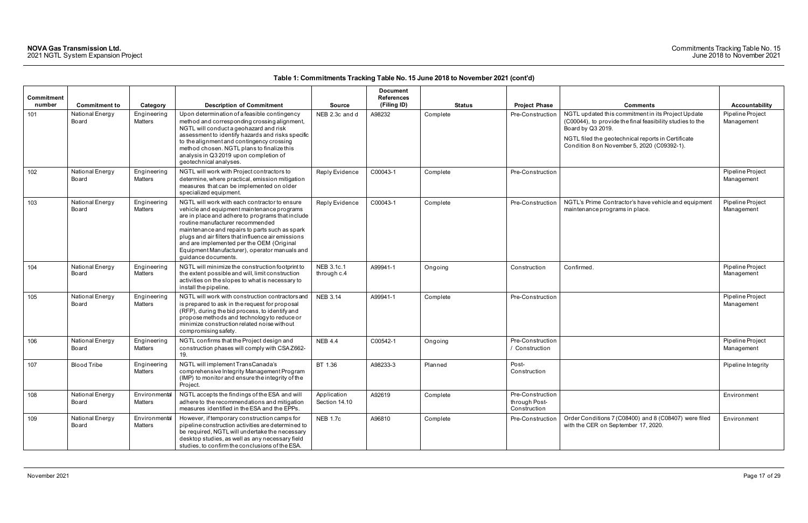| <b>Commitment</b><br>number | <b>Commitment to</b>     | Category                      | <b>Description of Commitment</b>                                                                                                                                                                                                                                                                                                                                                                                 | <b>Source</b>                | <b>Document</b><br><b>References</b><br>(Filing ID) | <b>Status</b> | <b>Project Phase</b>                              | <b>Comments</b>                                                                                                                                                                                                                           | <b>Accountability</b>          |
|-----------------------------|--------------------------|-------------------------------|------------------------------------------------------------------------------------------------------------------------------------------------------------------------------------------------------------------------------------------------------------------------------------------------------------------------------------------------------------------------------------------------------------------|------------------------------|-----------------------------------------------------|---------------|---------------------------------------------------|-------------------------------------------------------------------------------------------------------------------------------------------------------------------------------------------------------------------------------------------|--------------------------------|
| 101                         | National Energy<br>Board | Engineering<br>Matters        | Upon determination of a feasible contingency<br>method and corresponding crossing alignment,<br>NGTL will conduct a geohazard and risk<br>assessment to identify hazards and risks specific<br>to the alignment and contingency crossing<br>method chosen. NGTL plans to finalize this<br>analysis in Q3 2019 upon completion of<br>geotechnical analyses.                                                       | NEB 2.3c and d               | A98232                                              | Complete      | Pre-Constructio                                   | NGTL updated this commitment in its Project Update<br>(C00044), to provide the final feasibility studies to the<br>Board by Q3 2019.<br>NGTL filed the geotechnical reports in Certificate<br>Condition 8 on November 5, 2020 (C09392-1). | Pipeline Project<br>Management |
| 102                         | National Energy<br>Board | Engineering<br><b>Matters</b> | NGTL will work with Project contractors to<br>determine, where practical, emission mitigation<br>measures that can be implemented on older<br>specialized equipment.                                                                                                                                                                                                                                             | Reply Evidence               | C00043-1                                            | Complete      | Pre-Construction                                  |                                                                                                                                                                                                                                           | Pipeline Project<br>Management |
| 103                         | National Energy<br>Board | Engineering<br><b>Matters</b> | NGTL will work with each contractor to ensure<br>vehicle and equipment maintenance programs<br>are in place and adhere to programs that include<br>routine manufacturer recommended<br>maintenance and repairs to parts such as spark<br>plugs and air filters that influence air emissions<br>and are implemented per the OEM (Original<br>Equipment Manufacturer), operator manuals and<br>guidance documents. | Reply Evidence               | C00043-1                                            | Complete      | Pre-Construction                                  | NGTL's Prime Contractor's have vehicle and equipment<br>maintenance programs in place.                                                                                                                                                    | Pipeline Project<br>Management |
| 104                         | National Energy<br>Board | Engineering<br>Matters        | NGTL will minimize the construction footprint to<br>the extent possible and will, limit construction<br>activities on the slopes to what is necessary to<br>install the pipeline.                                                                                                                                                                                                                                | NEB 3.1c.1<br>through c.4    | A99941-1                                            | Ongoing       | Construction                                      | Confirmed                                                                                                                                                                                                                                 | Pipeline Project<br>Management |
| 105                         | National Energy<br>Board | Engineering<br>Matters        | NGTL will work with construction contractors and<br>is prepared to ask in the request for proposal<br>(RFP), during the bid process, to identify and<br>propose methods and technology to reduce or<br>minimize construction related noise without<br>compromising safety.                                                                                                                                       | <b>NEB 3.14</b>              | A99941-1                                            | Complete      | Pre-Construction                                  |                                                                                                                                                                                                                                           | Pipeline Project<br>Management |
| 106                         | National Energy<br>Board | Engineering<br>Matters        | NGTL confirms that the Project design and<br>construction phases will comply with CSAZ662-<br>19.                                                                                                                                                                                                                                                                                                                | <b>NEB 4.4</b>               | C00542-1                                            | Ongoing       | Pre-Construction<br>Construction                  |                                                                                                                                                                                                                                           | Pipeline Project<br>Management |
| 107                         | <b>Blood Tribe</b>       | Engineering<br><b>Matters</b> | NGTL will implement TransCanada's<br>comprehensive Integrity Management Program<br>(IMP) to monitor and ensure the integrity of the<br>Project.                                                                                                                                                                                                                                                                  | BT 1.36                      | A98233-3                                            | Planned       | Post-<br>Construction                             |                                                                                                                                                                                                                                           | Pipeline Integrity             |
| 108                         | National Energy<br>Board | Environmental<br>Matters      | NGTL accepts the findings of the ESA and will<br>adhere to the recommendations and mitigation<br>measures identified in the ESA and the EPPs.                                                                                                                                                                                                                                                                    | Application<br>Section 14.10 | A92619                                              | Complete      | Pre-Construction<br>through Post-<br>Construction |                                                                                                                                                                                                                                           | Environment                    |
| 109                         | National Energy<br>Board | Environmental<br>Matters      | However, if temporary construction camps for<br>pipeline construction activities are determined to<br>be required, NGTL will undertake the necessary<br>desktop studies, as well as any necessary field<br>studies, to confirm the conclusions of the ESA.                                                                                                                                                       | <b>NEB 1.7c</b>              | A96810                                              | Complete      | Pre-Construction                                  | Order Conditions 7 (C08400) and 8 (C08407) were filed<br>with the CER on September 17, 2020.                                                                                                                                              | Environment                    |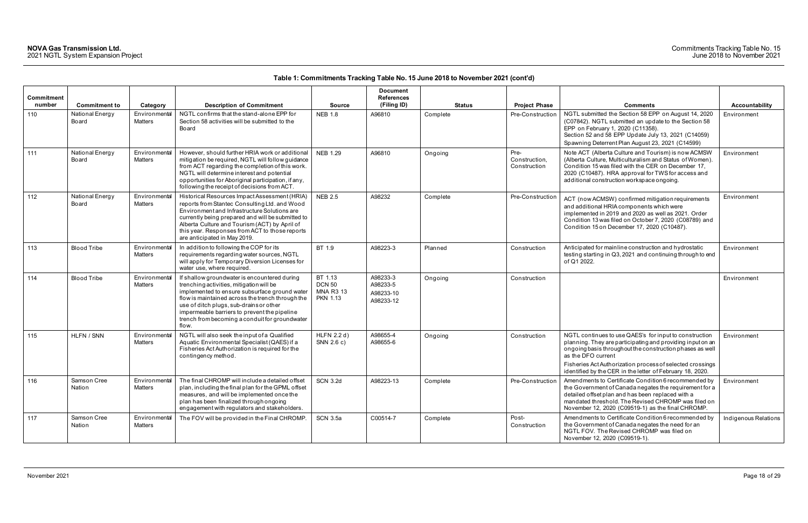| <b>Commitment</b><br>number | <b>Commitment to</b>     | Category                        | <b>Description of Commitment</b>                                                                                                                                                                                                                                                                                                                    | <b>Source</b>                                                   | <b>Document</b><br><b>References</b><br>(Filing ID) | <b>Status</b> | <b>Project Phase</b>                  | <b>Comments</b>                                                                                                                                                                                                                                                                                                                  | Accountability       |
|-----------------------------|--------------------------|---------------------------------|-----------------------------------------------------------------------------------------------------------------------------------------------------------------------------------------------------------------------------------------------------------------------------------------------------------------------------------------------------|-----------------------------------------------------------------|-----------------------------------------------------|---------------|---------------------------------------|----------------------------------------------------------------------------------------------------------------------------------------------------------------------------------------------------------------------------------------------------------------------------------------------------------------------------------|----------------------|
| 110                         | National Energy<br>Board | Environmental<br>Matters        | NGTL confirms that the stand-alone EPP for<br>Section 58 activities will be submitted to the<br>Board                                                                                                                                                                                                                                               | <b>NEB 1.8</b>                                                  | A96810                                              | Complete      | Pre-Construction                      | NGTL submitted the Section 58 EPP on August 14, 2020<br>(C07842). NGTL submitted an update to the Section 58<br>EPP on February 1, 2020 (C11358).<br>Section 52 and 58 EPP Update July 13, 2021 (C14059)<br>Spawning Deterrent Plan August 23, 2021 (C14599)                                                                     | Environment          |
| 111                         | National Energy<br>Board | Environmental<br><b>Matters</b> | However, should further HRIA work or additional<br>mitigation be required, NGTL will follow guidance<br>from ACT regarding the completion of this work.<br>NGTL will determine interest and potential<br>opportunities for Aboriginal participation, if any,<br>following the receipt of decisions from ACT.                                        | <b>NEB 1.29</b>                                                 | A96810                                              | Ongoing       | Pre-<br>Construction,<br>Construction | Note ACT (Alberta Culture and Tourism) is now ACMSW<br>(Alberta Culture, Multiculturalism and Status of Women).<br>Condition 15 was filed with the CER on December 17,<br>2020 (C10487). HRA approval for TWS for access and<br>additional construction workspace ongoing.                                                       | Environment          |
| 112                         | National Energy<br>Board | Environmental<br><b>Matters</b> | Historical Resources Impact Assessment (HRIA)<br>reports from Stantec Consulting Ltd. and Wood<br>Environment and Infrastructure Solutions are<br>currently being prepared and will be submitted to<br>Alberta Culture and Tourism (ACT) by April of<br>this year. Responses from ACT to those reports<br>are anticipated in May 2019.              | <b>NEB 2.5</b>                                                  | A98232                                              | Complete      | Pre-Construction                      | ACT (now ACMSW) confirmed mitigation requirements<br>and additional HRIA components which were<br>implemented in 2019 and 2020 as well as 2021. Order<br>Condition 13 was filed on October 7, 2020 (C08789) and<br>Condition 15 on December 17, 2020 (C10487).                                                                   | Environment          |
| 113                         | <b>Blood Tribe</b>       | Environmental<br><b>Matters</b> | In addition to following the COP for its<br>requirements regarding water sources, NGTL<br>will apply for Temporary Diversion Licenses for<br>water use, where required.                                                                                                                                                                             | BT 1.9                                                          | A98223-3                                            | Planned       | Construction                          | Anticipated for mainline construction and hydrostatic<br>testing starting in Q3, 2021 and continuing through to end<br>of Q1 2022.                                                                                                                                                                                               | Environment          |
| 114                         | <b>Blood Tribe</b>       | Environmental<br><b>Matters</b> | If shallow groundwater is encountered during<br>trenching activities, mitigation will be<br>implemented to ensure subsurface ground water<br>flow is maintained across the trench through the<br>use of ditch plugs, sub-drains or other<br>impermeable barriers to prevent the pipeline<br>trench from becoming a conduit for groundwater<br>flow. | BT 1.13<br><b>DCN 50</b><br><b>MNA R3 13</b><br><b>PKN 1.13</b> | A98233-3<br>A98233-5<br>A98233-10<br>A98233-12      | Ongoing       | Construction                          |                                                                                                                                                                                                                                                                                                                                  | Environment          |
| 115                         | HLFN / SNN               | Environmental<br><b>Matters</b> | NGTL will also seek the input of a Qualified<br>Aquatic Environmental Specialist (QAES) if a<br>Fisheries Act Authorization is required for the<br>contingency method.                                                                                                                                                                              | HLFN 2.2 d)<br>SNN 2.6 c)                                       | A98655-4<br>A98655-6                                | Ongoing       | Construction                          | NGTL continues to use QAES's for input to construction<br>planning. They are participating and providing input on an<br>ongoing basis throughout the construction phases as well<br>as the DFO current<br>Fisheries Act Authorization process of selected crossings<br>identified by the CER in the letter of February 18, 2020. | Environment          |
| 116                         | Samson Cree<br>Nation    | Environmental<br>Matters        | The final CHROMP will include a detailed offset<br>plan, including the final plan for the GPML offset<br>measures, and will be implemented once the<br>plan has been finalized through ongoing<br>engagement with regulators and stakeholders.                                                                                                      | <b>SCN 3.2d</b>                                                 | A98223-13                                           | Complete      | Pre-Construction                      | Amendments to Certificate Condition 6 recommended by<br>the Government of Canada negates the requirement for a<br>detailed offset plan and has been replaced with a<br>mandated threshold. The Revised CHROMP was filed on<br>November 12, 2020 (C09519-1) as the final CHROMP.                                                  | Environment          |
| 117                         | Samson Cree<br>Nation    | Environmental<br><b>Matters</b> | The FOV will be provided in the Final CHROMP.                                                                                                                                                                                                                                                                                                       | SCN 3.5a                                                        | C00514-7                                            | Complete      | Post-<br>Construction                 | Amendments to Certificate Condition 6 recommended by<br>the Government of Canada negates the need for an<br>NGTL FOV. The Revised CHROMP was filed on<br>November 12, 2020 (C09519-1).                                                                                                                                           | Indigenous Relations |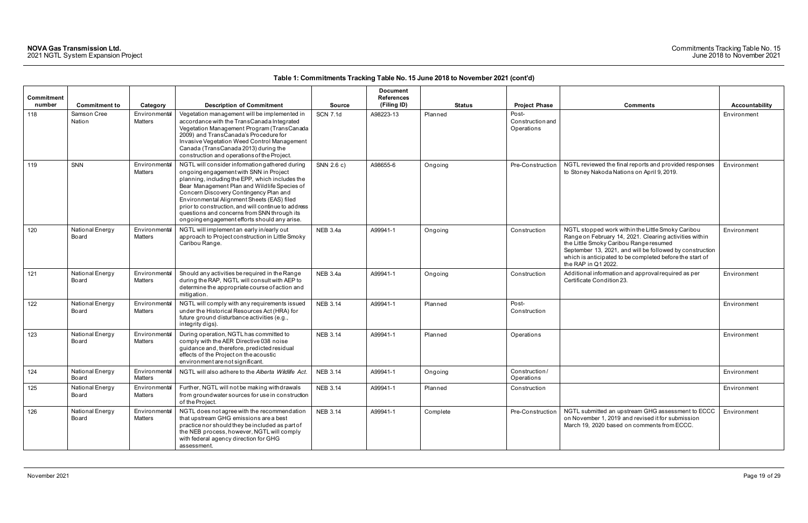### Commitments Tracking Table No. 15 June 2018 to November 2021

| Commitment<br>number | <b>Commitment to</b>     | Category                 | <b>Description of Commitment</b>                                                                                                                                                                                                                                                                                                                                                                                                          | <b>Source</b>   | <b>Document</b><br><b>References</b><br>(Filing ID) | <b>Status</b> | <b>Project Phase</b>                    | <b>Comments</b>                                                                                                                                                                                                                                                                                      | Accountability |
|----------------------|--------------------------|--------------------------|-------------------------------------------------------------------------------------------------------------------------------------------------------------------------------------------------------------------------------------------------------------------------------------------------------------------------------------------------------------------------------------------------------------------------------------------|-----------------|-----------------------------------------------------|---------------|-----------------------------------------|------------------------------------------------------------------------------------------------------------------------------------------------------------------------------------------------------------------------------------------------------------------------------------------------------|----------------|
| 118                  | Samson Cree<br>Nation    | Environmental<br>Matters | Vegetation management will be implemented in<br>accordance with the TransCanada Integrated<br>Vegetation Management Program (TransCanada<br>2009) and TransCanada's Procedure for<br>Invasive Vegetation Weed Control Management<br>Canada (TransCanada 2013) during the<br>construction and operations of the Project.                                                                                                                   | <b>SCN 7.1d</b> | A98223-13                                           | Planned       | Post-<br>Construction and<br>Operations |                                                                                                                                                                                                                                                                                                      | Environment    |
| 119                  | SNN                      | Environmental<br>Matters | NGTL will consider information gathered during<br>ongoing engagement with SNN in Project<br>planning, including the EPP, which includes the<br>Bear Management Plan and Wildlife Species of<br>Concern Discovery Contingency Plan and<br>Environmental Alignment Sheets (EAS) filed<br>prior to construction, and will continue to address<br>questions and concerns from SNN through its<br>ongoing engagement efforts should any arise. | SNN 2.6 c)      | A98655-6                                            | Ongoing       | Pre-Construction                        | NGTL reviewed the final reports and provided responses<br>to Stoney Nakoda Nations on April 9, 2019.                                                                                                                                                                                                 | Environment    |
| 120                  | National Energy<br>Board | Environmental<br>Matters | NGTL will implement an early in/early out<br>approach to Project construction in Little Smoky<br>Caribou Range.                                                                                                                                                                                                                                                                                                                           | <b>NEB 3.4a</b> | A99941-1                                            | Ongoing       | Construction                            | NGTL stopped work within the Little Smoky Caribou<br>Range on February 14, 2021. Clearing activities within<br>the Little Smoky Caribou Range resumed<br>September 13, 2021, and will be followed by construction<br>which is anticipated to be completed before the start of<br>the RAP in Q1 2022. | Environment    |
| 121                  | National Energy<br>Board | Environmental<br>Matters | Should any activities be required in the Range<br>during the RAP, NGTL will consult with AEP to<br>determine the appropriate course of action and<br>mitigation.                                                                                                                                                                                                                                                                          | <b>NEB 3.4a</b> | A99941-1                                            | Ongoing       | Construction                            | Additional information and approval required as per<br>Certificate Condition 23.                                                                                                                                                                                                                     | Environment    |
| 122                  | National Energy<br>Board | Environmental<br>Matters | NGTL will comply with any requirements issued<br>under the Historical Resources Act (HRA) for<br>future ground disturbance activities (e.g.,<br>integrity digs).                                                                                                                                                                                                                                                                          | <b>NEB 3.14</b> | A99941-1                                            | Planned       | Post-<br>Construction                   |                                                                                                                                                                                                                                                                                                      | Environment    |
| 123                  | National Energy<br>Board | Environmental<br>Matters | During operation, NGTL has committed to<br>comply with the AER Directive 038 noise<br>guidance and, therefore, predicted residual<br>effects of the Project on the acoustic<br>environment are not significant.                                                                                                                                                                                                                           | <b>NEB 3.14</b> | A99941-1                                            | Planned       | Operations                              |                                                                                                                                                                                                                                                                                                      | Environment    |
| 124                  | National Energy<br>Board | Environmental<br>Matters | NGTL will also adhere to the Alberta Wildlife Act.                                                                                                                                                                                                                                                                                                                                                                                        | <b>NEB 3.14</b> | A99941-1                                            | Ongoing       | Construction/<br>Operations             |                                                                                                                                                                                                                                                                                                      | Environment    |
| 125                  | National Energy<br>Board | Environmental<br>Matters | Further, NGTL will not be making withdrawals<br>from groundwater sources for use in construction<br>of the Project.                                                                                                                                                                                                                                                                                                                       | <b>NEB 3.14</b> | A99941-1                                            | Planned       | Construction                            |                                                                                                                                                                                                                                                                                                      | Environment    |
| 126                  | National Energy<br>Board | Environmental<br>Matters | NGTL does not agree with the recommendation<br>that upstream GHG emissions are a best<br>practice nor should they be included as part of<br>the NEB process, however, NGTL will comply<br>with federal agency direction for GHG<br>assessment.                                                                                                                                                                                            | <b>NEB 3.14</b> | A99941-1                                            | Complete      | Pre-Construction                        | NGTL submitted an upstream GHG assessment to ECCC<br>on November 1, 2019 and revised it for submission<br>March 19, 2020 based on comments from ECCC.                                                                                                                                                | Environment    |

| Comments                                                                                                                                                                                                                                                                                             | Accountability |
|------------------------------------------------------------------------------------------------------------------------------------------------------------------------------------------------------------------------------------------------------------------------------------------------------|----------------|
|                                                                                                                                                                                                                                                                                                      | Environment    |
| NGTL reviewed the final reports and provided responses<br>to Stoney Nakoda Nations on April 9, 2019.                                                                                                                                                                                                 | Environment    |
| NGTL stopped work within the Little Smoky Caribou<br>Range on February 14, 2021. Clearing activities within<br>the Little Smoky Caribou Range resumed<br>September 13, 2021, and will be followed by construction<br>which is anticipated to be completed before the start of<br>the RAP in Q1 2022. | Environment    |
| Additional information and approval required as per<br>Certificate Condition 23.                                                                                                                                                                                                                     | Environment    |
|                                                                                                                                                                                                                                                                                                      | Environment    |
|                                                                                                                                                                                                                                                                                                      | Environment    |
|                                                                                                                                                                                                                                                                                                      | Environment    |
|                                                                                                                                                                                                                                                                                                      | Environment    |
| NGTL submitted an upstream GHG assessment to ECCC<br>on November 1, 2019 and revised it for submission<br>March 19, 2020 based on comments from ECCC.                                                                                                                                                | Environment    |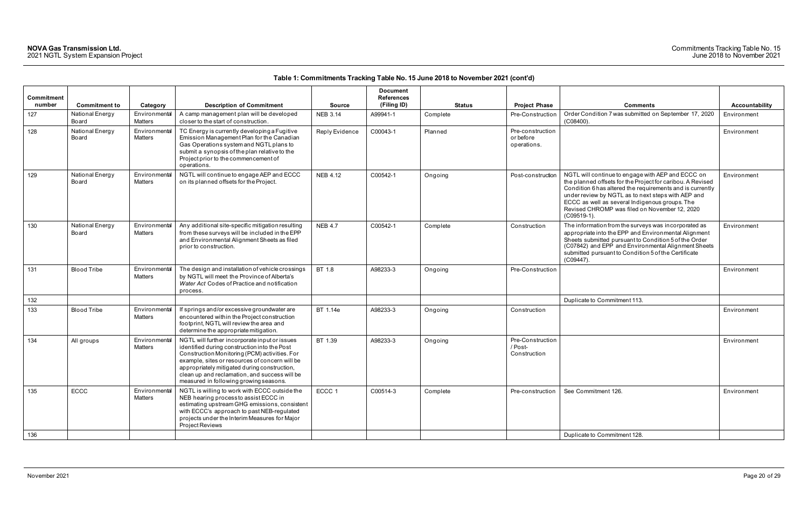|                   |                          |                                 |                                                                                                                                                                                                                                                                                                                                             |                 | <b>Document</b>   |               |                                              |                                                                                                                                                                                                                                                                                                                                                        |                |
|-------------------|--------------------------|---------------------------------|---------------------------------------------------------------------------------------------------------------------------------------------------------------------------------------------------------------------------------------------------------------------------------------------------------------------------------------------|-----------------|-------------------|---------------|----------------------------------------------|--------------------------------------------------------------------------------------------------------------------------------------------------------------------------------------------------------------------------------------------------------------------------------------------------------------------------------------------------------|----------------|
| <b>Commitment</b> |                          |                                 |                                                                                                                                                                                                                                                                                                                                             |                 | <b>References</b> |               |                                              |                                                                                                                                                                                                                                                                                                                                                        |                |
| number            | <b>Commitment to</b>     | Category                        | <b>Description of Commitment</b>                                                                                                                                                                                                                                                                                                            | <b>Source</b>   | (Filing ID)       | <b>Status</b> | <b>Project Phase</b>                         | <b>Comments</b>                                                                                                                                                                                                                                                                                                                                        | Accountability |
| 127               | National Energy<br>Board | Environmental<br><b>Matters</b> | A camp management plan will be developed<br>closer to the start of construction.                                                                                                                                                                                                                                                            | <b>NEB 3.14</b> | A99941-1          | Complete      | Pre-Construction                             | Order Condition 7 was submitted on September 17, 2020<br>$(C08400)$ .                                                                                                                                                                                                                                                                                  | Environment    |
| 128               | National Energy<br>Board | Environmental<br><b>Matters</b> | TC Energy is currently developing a Fugitive<br>Emission Management Plan for the Canadian<br>Gas Operations system and NGTL plans to<br>submit a synopsis of the plan relative to the<br>Project prior to the commencement of<br>operations.                                                                                                | Reply Evidence  | C00043-1          | Planned       | Pre-construction<br>or before<br>operations. |                                                                                                                                                                                                                                                                                                                                                        | Environment    |
| 129               | National Energy<br>Board | Environmental<br><b>Matters</b> | NGTL will continue to engage AEP and ECCC<br>on its planned offsets for the Project.                                                                                                                                                                                                                                                        | <b>NEB 4.12</b> | C00542-1          | Ongoing       | Post-construction                            | NGTL will continue to engage with AEP and ECCC on<br>the planned offsets for the Project for caribou. A Revised<br>Condition 6 has altered the requirements and is currently<br>under review by NGTL as to next steps with AEP and<br>ECCC as well as several Indigenous groups. The<br>Revised CHROMP was filed on November 12, 2020<br>$(C09519-1).$ | Environment    |
| 130               | National Energy<br>Board | Environmental<br><b>Matters</b> | Any additional site-specific mitigation resulting<br>from these surveys will be included in the EPP<br>and Environmental Alignment Sheets as filed<br>prior to construction.                                                                                                                                                                | <b>NEB 4.7</b>  | C00542-1          | Complete      | Construction                                 | The information from the surveys was incorporated as<br>appropriate into the EPP and Environmental Alignment<br>Sheets submitted pursuant to Condition 5 of the Order<br>(C07842) and EPP and Environmental Alignment Sheets<br>submitted pursuant to Condition 5 of the Certificate<br>$(C09447)$ .                                                   | Environment    |
| 131               | <b>Blood Tribe</b>       | Environmental<br><b>Matters</b> | The design and installation of vehicle crossings<br>by NGTL will meet the Province of Alberta's<br>Water Act Codes of Practice and notification<br>process.                                                                                                                                                                                 | BT 1.8          | A98233-3          | Ongoing       | Pre-Construction                             |                                                                                                                                                                                                                                                                                                                                                        | Environment    |
| 132               |                          |                                 |                                                                                                                                                                                                                                                                                                                                             |                 |                   |               |                                              | Duplicate to Commitment 113                                                                                                                                                                                                                                                                                                                            |                |
| 133               | <b>Blood Tribe</b>       | Environmental<br>Matters        | If springs and/or excessive groundwater are<br>encountered within the Project construction<br>footprint, NGTL will review the area and<br>determine the appropriate mitigation.                                                                                                                                                             | BT 1.14e        | A98233-3          | Ongoing       | Construction                                 |                                                                                                                                                                                                                                                                                                                                                        | Environment    |
| 134               | All groups               | Environmental<br><b>Matters</b> | NGTL will further incorporate input or issues<br>identified during construction into the Post<br>Construction Monitoring (PCM) activities. For<br>example, sites or resources of concern will be<br>appropriately mitigated during construction,<br>clean up and reclamation, and success will be<br>measured in following growing seasons. | BT 1.39         | A98233-3          | Ongoing       | Pre-Construction<br>/ Post-<br>Construction  |                                                                                                                                                                                                                                                                                                                                                        | Environment    |
| 135               | ECCC                     | Environmental<br>Matters        | NGTL is willing to work with ECCC outside the<br>NEB hearing process to assist ECCC in<br>estimating upstream GHG emissions, consistent<br>with ECCC's approach to past NEB-regulated<br>projects under the Interim Measures for Major<br>Project Reviews                                                                                   | ECCC 1          | C00514-3          | Complete      | Pre-construction                             | See Commitment 126.                                                                                                                                                                                                                                                                                                                                    | Environment    |
| 136               |                          |                                 |                                                                                                                                                                                                                                                                                                                                             |                 |                   |               |                                              | Duplicate to Commitment 128.                                                                                                                                                                                                                                                                                                                           |                |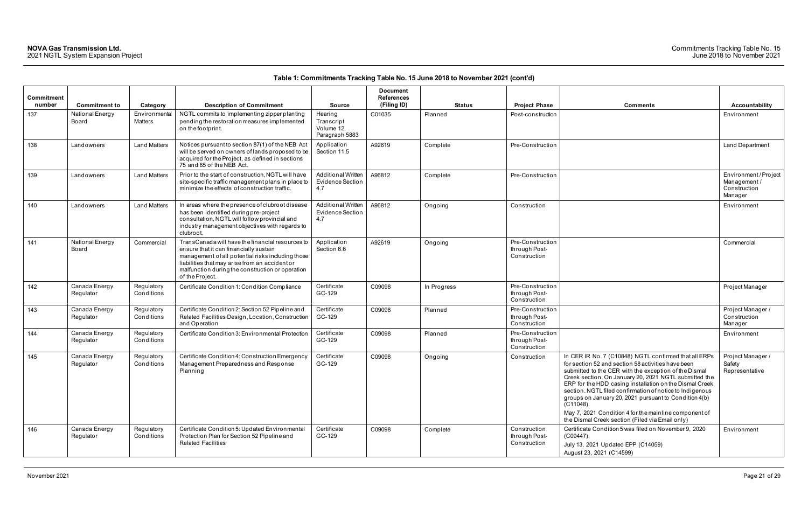| Commitment<br>number | <b>Commitment to</b>       | Category                 | <b>Description of Commitment</b>                                                                                                                                                                                                                                         | <b>Source</b>                                               | <b>Document</b><br>References<br>(Filing ID) | <b>Status</b> | <b>Project Phase</b>                              | <b>Comments</b>                                                                                                                                                                                                                                                                                                                                                                                                                                                                                                                        | Accountability                                                |
|----------------------|----------------------------|--------------------------|--------------------------------------------------------------------------------------------------------------------------------------------------------------------------------------------------------------------------------------------------------------------------|-------------------------------------------------------------|----------------------------------------------|---------------|---------------------------------------------------|----------------------------------------------------------------------------------------------------------------------------------------------------------------------------------------------------------------------------------------------------------------------------------------------------------------------------------------------------------------------------------------------------------------------------------------------------------------------------------------------------------------------------------------|---------------------------------------------------------------|
| 137                  | National Energy<br>Board   | Environmental<br>Matters | NGTL commits to implementing zipper planting<br>pending the restoration measures implemented<br>on the footprint.                                                                                                                                                        | Hearing<br>Transcript<br>Volume 12.<br>Paragraph 5883       | C01035                                       | Planned       | Post-construction                                 |                                                                                                                                                                                                                                                                                                                                                                                                                                                                                                                                        | Environment                                                   |
| 138                  | Landowners                 | <b>Land Matters</b>      | Notices pursuant to section 87(1) of the NEB Act<br>will be served on owners of lands proposed to be<br>acquired for the Project, as defined in sections<br>75 and 85 of the NEB Act.                                                                                    | Application<br>Section 11.5                                 | A92619                                       | Complete      | Pre-Construction                                  |                                                                                                                                                                                                                                                                                                                                                                                                                                                                                                                                        | Land Department                                               |
| 139                  | Landowners                 | <b>Land Matters</b>      | Prior to the start of construction, NGTL will have<br>site-specific traffic management plans in place to<br>minimize the effects of construction traffic.                                                                                                                | <b>Additional Written</b><br>Evidence Section<br>4.7        | A96812                                       | Complete      | Pre-Construction                                  |                                                                                                                                                                                                                                                                                                                                                                                                                                                                                                                                        | Environment/Project<br>Management/<br>Construction<br>Manager |
| 140                  | Landowners                 | <b>Land Matters</b>      | In areas where the presence of clubroot disease<br>has been identified during pre-project<br>consultation, NGTL will follow provincial and<br>industry management objectives with regards to<br>clubroot.                                                                | <b>Additional Written</b><br><b>Evidence Section</b><br>4.7 | A96812                                       | Ongoing       | Construction                                      |                                                                                                                                                                                                                                                                                                                                                                                                                                                                                                                                        | Environment                                                   |
| 141                  | National Energy<br>Board   | Commercial               | TransCanada will have the financial resources to<br>ensure that it can financially sustain<br>management of all potential risks including those<br>liabilities that may arise from an accident or<br>malfunction during the construction or operation<br>of the Project. | Application<br>Section 6.6                                  | A92619                                       | Ongoing       | Pre-Construction<br>through Post-<br>Construction |                                                                                                                                                                                                                                                                                                                                                                                                                                                                                                                                        | Commercial                                                    |
| 142                  | Canada Energy<br>Regulator | Regulatory<br>Conditions | Certificate Condition 1: Condition Compliance                                                                                                                                                                                                                            | Certificate<br>GC-129                                       | C09098                                       | In Progress   | Pre-Construction<br>through Post-<br>Construction |                                                                                                                                                                                                                                                                                                                                                                                                                                                                                                                                        | Project Manager                                               |
| 143                  | Canada Energy<br>Regulator | Regulatory<br>Conditions | Certificate Condition 2: Section 52 Pipeline and<br>Related Facilities Design, Location, Construction<br>and Operation                                                                                                                                                   | Certificate<br>GC-129                                       | C09098                                       | Planned       | Pre-Construction<br>through Post-<br>Construction |                                                                                                                                                                                                                                                                                                                                                                                                                                                                                                                                        | Project Manager /<br>Construction<br>Manager                  |
| 144                  | Canada Energy<br>Regulator | Regulatory<br>Conditions | Certificate Condition 3: Environmental Protection                                                                                                                                                                                                                        | Certificate<br>GC-129                                       | C09098                                       | Planned       | Pre-Construction<br>through Post-<br>Construction |                                                                                                                                                                                                                                                                                                                                                                                                                                                                                                                                        | Environment                                                   |
| 145                  | Canada Energy<br>Regulator | Regulatory<br>Conditions | Certificate Condition 4: Construction Emergency<br>Management Preparedness and Response<br>Planning                                                                                                                                                                      | Certificate<br>GC-129                                       | C09098                                       | Ongoing       | Construction                                      | In CER IR No. 7 (C10848) NGTL confirmed that all ERPs<br>for section 52 and section 58 activities have been<br>submitted to the CER with the exception of the Dismal<br>Creek section. On January 20, 2021 NGTL submitted the<br>ERP for the HDD casing installation on the Dismal Creek<br>section. NGTL filed confirmation of notice to Indigenous<br>groups on January 20, 2021 pursuant to Condition 4(b)<br>(C11048).<br>May 7, 2021 Condition 4 for the mainline component of<br>the Dismal Creek section (Filed via Email only) | Project Manager /<br>Safety<br>Representative                 |
| 146                  | Canada Energy<br>Regulator | Regulatory<br>Conditions | Certificate Condition 5: Updated Environmental<br>Protection Plan for Section 52 Pipeline and<br><b>Related Facilities</b>                                                                                                                                               | Certificate<br>GC-129                                       | C09098                                       | Complete      | Construction<br>through Post-<br>Construction     | Certificate Condition 5 was filed on November 9, 2020<br>$(C09447)$ .<br>July 13, 2021 Updated EPP (C14059)<br>August 23, 2021 (C14599)                                                                                                                                                                                                                                                                                                                                                                                                | Environment                                                   |

| Comments                                                                                                                                                                                                                                                                                                                                                                                                                                                                                                                               | <b>Accountability</b>                                         |
|----------------------------------------------------------------------------------------------------------------------------------------------------------------------------------------------------------------------------------------------------------------------------------------------------------------------------------------------------------------------------------------------------------------------------------------------------------------------------------------------------------------------------------------|---------------------------------------------------------------|
|                                                                                                                                                                                                                                                                                                                                                                                                                                                                                                                                        | Environment                                                   |
|                                                                                                                                                                                                                                                                                                                                                                                                                                                                                                                                        | Land Department                                               |
|                                                                                                                                                                                                                                                                                                                                                                                                                                                                                                                                        | Environment/Project<br>Management/<br>Construction<br>Manager |
|                                                                                                                                                                                                                                                                                                                                                                                                                                                                                                                                        | Environment                                                   |
|                                                                                                                                                                                                                                                                                                                                                                                                                                                                                                                                        | Commercial                                                    |
|                                                                                                                                                                                                                                                                                                                                                                                                                                                                                                                                        | Project Manager                                               |
|                                                                                                                                                                                                                                                                                                                                                                                                                                                                                                                                        | Project Manager /<br>Construction<br>Manager                  |
|                                                                                                                                                                                                                                                                                                                                                                                                                                                                                                                                        | Environment                                                   |
| In CER IR No. 7 (C10848) NGTL confirmed that all ERPs<br>for section 52 and section 58 activities have been<br>submitted to the CER with the exception of the Dismal<br>Creek section. On January 20, 2021 NGTL submitted the<br>ERP for the HDD casing installation on the Dismal Creek<br>section. NGTL filed confirmation of notice to Indigenous<br>groups on January 20, 2021 pursuant to Condition 4(b)<br>(C11048).<br>May 7, 2021 Condition 4 for the mainline component of<br>the Dismal Creek section (Filed via Email only) | Project Manager /<br>Safety<br>Representative                 |
| Certificate Condition 5 was filed on November 9, 2020<br>(C09447).<br>July 13, 2021 Updated EPP (C14059)<br>August 23, 2021 (C14599)                                                                                                                                                                                                                                                                                                                                                                                                   | Environment                                                   |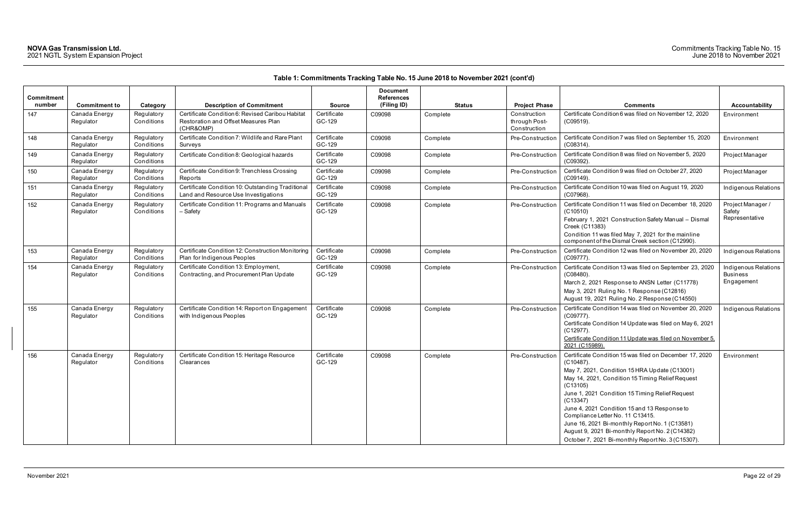| <b>Commitment</b><br>number | <b>Commitment to</b>       | Category                 | <b>Description of Commitment</b>                                                                      | <b>Source</b>         | <b>Document</b><br><b>References</b><br>(Filing ID) | <b>Status</b> | <b>Project Phase</b>                          | <b>Comments</b>                                                                                                                                                                                                                                                                                                                                                                                                                                                                                       | <b>Accountability</b>                                 |
|-----------------------------|----------------------------|--------------------------|-------------------------------------------------------------------------------------------------------|-----------------------|-----------------------------------------------------|---------------|-----------------------------------------------|-------------------------------------------------------------------------------------------------------------------------------------------------------------------------------------------------------------------------------------------------------------------------------------------------------------------------------------------------------------------------------------------------------------------------------------------------------------------------------------------------------|-------------------------------------------------------|
| 147                         | Canada Energy<br>Regulator | Regulatory<br>Conditions | Certificate Condition 6: Revised Caribou Habitat<br>Restoration and Offset Measures Plan<br>(CHR&OMP) | Certificate<br>GC-129 | C09098                                              | Complete      | Construction<br>through Post-<br>Construction | Certificate Condition 6 was filed on November 12, 2020<br>$(C09519)$ .                                                                                                                                                                                                                                                                                                                                                                                                                                | Environment                                           |
| 148                         | Canada Energy<br>Regulator | Regulatory<br>Conditions | Certificate Condition 7: Wildlife and Rare Plant<br>Surveys                                           | Certificate<br>GC-129 | C09098                                              | Complete      | Pre-Construction                              | Certificate Condition 7 was filed on September 15, 2020<br>$(C08314)$ .                                                                                                                                                                                                                                                                                                                                                                                                                               | Environment                                           |
| 149                         | Canada Energy<br>Regulator | Regulatory<br>Conditions | Certificate Condition 8: Geological hazards                                                           | Certificate<br>GC-129 | C09098                                              | Complete      | Pre-Construction                              | Certificate Condition 8 was filed on November 5, 2020<br>(C09392)                                                                                                                                                                                                                                                                                                                                                                                                                                     | Project Manager                                       |
| 150                         | Canada Energy<br>Regulator | Regulatory<br>Conditions | Certificate Condition 9: Trenchless Crossing<br>Reports                                               | Certificate<br>GC-129 | C09098                                              | Complete      | Pre-Construction                              | Certificate Condition 9 was filed on October 27, 2020<br>(C09149).                                                                                                                                                                                                                                                                                                                                                                                                                                    | Project Manager                                       |
| 151                         | Canada Energy<br>Regulator | Regulatory<br>Conditions | Certificate Condition 10: Outstanding Traditional<br>Land and Resource Use Investigations             | Certificate<br>GC-129 | C09098                                              | Complete      | Pre-Construction                              | Certificate Condition 10 was filed on August 19, 2020<br>(C07968)                                                                                                                                                                                                                                                                                                                                                                                                                                     | Indigenous Relations                                  |
| 152                         | Canada Energy<br>Regulator | Regulatory<br>Conditions | Certificate Condition 11: Programs and Manuals<br>- Safety                                            | Certificate<br>GC-129 | C09098                                              | Complete      | Pre-Construction                              | Certificate Condition 11 was filed on December 18, 2020<br>(C10510)<br>February 1, 2021 Construction Safety Manual - Dismal<br>Creek (C11383)<br>Condition 11 was filed May 7, 2021 for the mainline<br>component of the Dismal Creek section (C12990).                                                                                                                                                                                                                                               | Project Manager /<br>Safety<br>Representative         |
| 153                         | Canada Energy<br>Regulator | Regulatory<br>Conditions | Certificate Condition 12: Construction Monitoring<br>Plan for Indigenous Peoples                      | Certificate<br>GC-129 | C09098                                              | Complete      | Pre-Construction                              | Certificate Condition 12 was filed on November 20, 2020<br>(C09777)                                                                                                                                                                                                                                                                                                                                                                                                                                   | Indigenous Relations                                  |
| 154                         | Canada Energy<br>Regulator | Regulatory<br>Conditions | Certificate Condition 13: Employment,<br>Contracting, and Procurement Plan Update                     | Certificate<br>GC-129 | C09098                                              | Complete      | Pre-Construction                              | Certificate Condition 13 was filed on September 23, 2020<br>$(C08480)$ .<br>March 2, 2021 Response to ANSN Letter (C11778)<br>May 3, 2021 Ruling No. 1 Response (C12816)<br>August 19, 2021 Ruling No. 2 Response (C14550)                                                                                                                                                                                                                                                                            | Indigenous Relations<br><b>Business</b><br>Engagement |
| 155                         | Canada Energy<br>Regulator | Regulatory<br>Conditions | Certificate Condition 14: Report on Engagement<br>with Indigenous Peoples                             | Certificate<br>GC-129 | C09098                                              | Complete      | Pre-Construction                              | Certificate Condition 14 was filed on November 20, 2020<br>(C09777).<br>Certificate Condition 14 Update was filed on May 6, 2021<br>(C12977).<br>Certificate Condition 11 Update was filed on November 5,<br>2021 (C15989)                                                                                                                                                                                                                                                                            | Indigenous Relations                                  |
| 156                         | Canada Energy<br>Regulator | Regulatory<br>Conditions | Certificate Condition 15: Heritage Resource<br>Clearances                                             | Certificate<br>GC-129 | C09098                                              | Complete      | Pre-Construction                              | Certificate Condition 15 was filed on December 17, 2020<br>$(C10487)$ .<br>May 7, 2021, Condition 15 HRA Update (C13001)<br>May 14, 2021, Condition 15 Timing Relief Request<br>(C13105)<br>June 1, 2021 Condition 15 Timing Relief Request<br>(C13347)<br>June 4, 2021 Condition 15 and 13 Response to<br>Compliance Letter No. 11 C13415.<br>June 16, 2021 Bi-monthly Report No. 1 (C13581)<br>August 9, 2021 Bi-monthly Report No. 2 (C14382)<br>October 7, 2021 Bi-monthly Report No. 3 (C15307). | Environment                                           |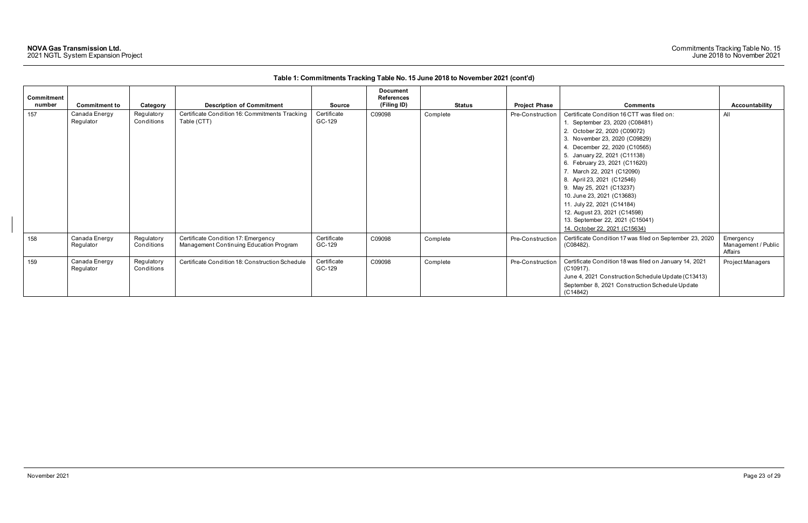| <b>Commitment</b><br>number | <b>Commitment to</b>       | Category                 | <b>Description of Commitment</b>                                               | Source                | <b>Document</b><br><b>References</b><br>(Filing ID) | <b>Status</b> | <b>Project Phase</b>    | <b>Comments</b>                                                                                                                                                                                                                                                                                                                                                                                                                                                                                         | Accountability                              |
|-----------------------------|----------------------------|--------------------------|--------------------------------------------------------------------------------|-----------------------|-----------------------------------------------------|---------------|-------------------------|---------------------------------------------------------------------------------------------------------------------------------------------------------------------------------------------------------------------------------------------------------------------------------------------------------------------------------------------------------------------------------------------------------------------------------------------------------------------------------------------------------|---------------------------------------------|
| 157                         | Canada Energy<br>Regulator | Regulatory<br>Conditions | Certificate Condition 16: Commitments Tracking<br>Table (CTT)                  | Certificate<br>GC-129 | C09098                                              | Complete      | Pre-Construction        | Certificate Condition 16 CTT was filed on:<br>1. September 23, 2020 (C08481)<br>2. October 22, 2020 (C09072)<br>3. November 23, 2020 (C09829)<br>4. December 22, 2020 (C10565)<br>5. January 22, 2021 (C11138)<br>6. February 23, 2021 (C11620)<br>7. March 22, 2021 (C12090)<br>8. April 23, 2021 (C12546)<br>9. May 25, 2021 (C13237)<br>10. June 23, 2021 (C13683)<br>11. July 22, 2021 (C14184)<br>12. August 23, 2021 (C14598)<br>13. September 22, 2021 (C15041)<br>14. October 22, 2021 (C15634) | All                                         |
| 158                         | Canada Energy<br>Regulator | Regulatory<br>Conditions | Certificate Condition 17: Emergency<br>Management Continuing Education Program | Certificate<br>GC-129 | C09098                                              | Complete      | <b>Pre-Construction</b> | Certificate Condition 17 was filed on September 23, 2020<br>$(C08482)$ .                                                                                                                                                                                                                                                                                                                                                                                                                                | Emergency<br>Management / Public<br>Affairs |
| 159                         | Canada Energy<br>Regulator | Regulatory<br>Conditions | Certificate Condition 18: Construction Schedule                                | Certificate<br>GC-129 | C09098                                              | Complete      | Pre-Construction        | Certificate Condition 18 was filed on January 14, 2021<br>$(C10917)$ .<br>June 4, 2021 Construction Schedule Update (C13413)<br>September 8, 2021 Construction Schedule Update<br>(C14842)                                                                                                                                                                                                                                                                                                              | Project Managers                            |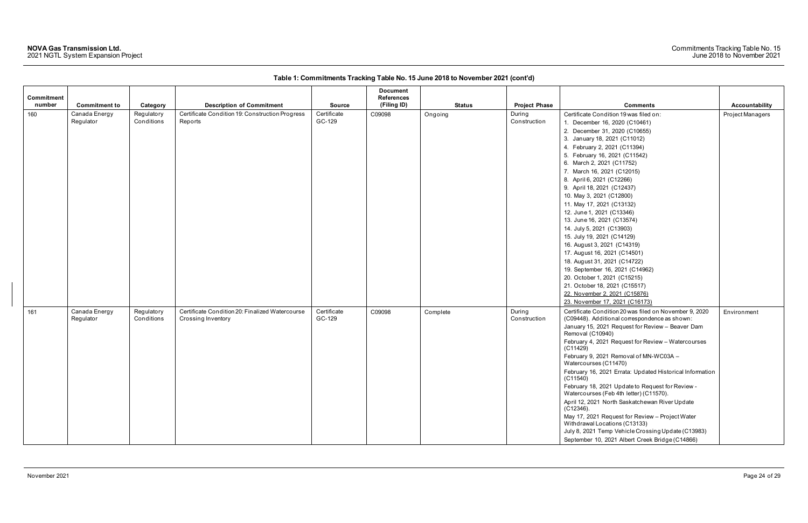| Commitment<br>number |                            |                          |                                                                       |                       | <b>Document</b><br><b>References</b> |               |                        |                                                                                                                                                                                                                                                                                                                                                                                                                                                                                                                                                                                                                                                                                                                                                            |                  |
|----------------------|----------------------------|--------------------------|-----------------------------------------------------------------------|-----------------------|--------------------------------------|---------------|------------------------|------------------------------------------------------------------------------------------------------------------------------------------------------------------------------------------------------------------------------------------------------------------------------------------------------------------------------------------------------------------------------------------------------------------------------------------------------------------------------------------------------------------------------------------------------------------------------------------------------------------------------------------------------------------------------------------------------------------------------------------------------------|------------------|
|                      | <b>Commitment to</b>       | Category                 | <b>Description of Commitment</b>                                      | <b>Source</b>         | (Filing ID)                          | <b>Status</b> | <b>Project Phase</b>   | <b>Comments</b>                                                                                                                                                                                                                                                                                                                                                                                                                                                                                                                                                                                                                                                                                                                                            | Accountability   |
| 160                  | Canada Energy<br>Regulator | Regulatory<br>Conditions | Certificate Condition 19: Construction Progress<br>Reports            | Certificate<br>GC-129 | C09098                               | Ongoing       | During<br>Construction | Certificate Condition 19 was filed on:<br>1. December 16, 2020 (C10461)<br>2. December 31, 2020 (C10655)<br>3. January 18, 2021 (C11012)<br>4. February 2, 2021 (C11394)<br>5. February 16, 2021 (C11542)<br>6. March 2, 2021 (C11752)<br>7. March 16, 2021 (C12015)<br>8. April 6, 2021 (C12266)<br>9. April 18, 2021 (C12437)<br>10. May 3, 2021 (C12800)<br>11. May 17, 2021 (C13132)<br>12. June 1, 2021 (C13346)<br>13. June 16, 2021 (C13574)<br>14. July 5, 2021 (C13903)<br>15. July 19, 2021 (C14129)<br>16. August 3, 2021 (C14319)<br>17. August 16, 2021 (C14501)<br>18. August 31, 2021 (C14722)<br>19. September 16, 2021 (C14962)<br>20. October 1, 2021 (C15215)<br>21. October 18, 2021 (C15517)<br>22. November 2, 2021 (C15876)         | Project Managers |
|                      |                            |                          |                                                                       |                       |                                      |               |                        | 23. November 17, 2021 (C16173)                                                                                                                                                                                                                                                                                                                                                                                                                                                                                                                                                                                                                                                                                                                             |                  |
| 161                  | Canada Energy<br>Regulator | Regulatory<br>Conditions | Certificate Condition 20: Finalized Watercourse<br>Crossing Inventory | Certificate<br>GC-129 | C09098                               | Complete      | During<br>Construction | Certificate Condition 20 was filed on November 9, 2020<br>(C09448). Additional correspondence as shown:<br>January 15, 2021 Request for Review - Beaver Dam<br>Removal (C10940)<br>February 4, 2021 Request for Review - Watercourses<br>(C11429)<br>February 9, 2021 Removal of MN-WC03A -<br>Watercourses (C11470)<br>February 16, 2021 Errata: Updated Historical Information<br>(C11540)<br>February 18, 2021 Update to Request for Review -<br>Watercourses (Feb 4th letter) (C11570).<br>April 12, 2021 North Saskatchewan River Update<br>$(C12346)$ .<br>May 17, 2021 Request for Review - Project Water<br>Withdrawal Locations (C13133)<br>July 8, 2021 Temp Vehicle Crossing Update (C13983)<br>September 10, 2021 Albert Creek Bridge (C14866) | Environment      |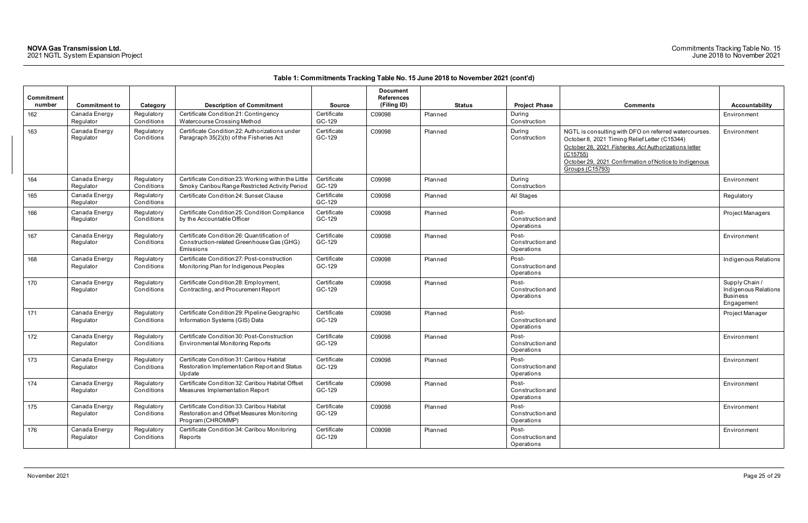| Commitment<br>number | <b>Commitment to</b>       | Category                 | <b>Description of Commitment</b>                                                                             | <b>Source</b>         | <b>Document</b><br><b>References</b><br>(Filing ID) | <b>Status</b> | <b>Project Phase</b>                           | <b>Comments</b>                                                                                                                                                                                                                                                     | Accountability                                                        |
|----------------------|----------------------------|--------------------------|--------------------------------------------------------------------------------------------------------------|-----------------------|-----------------------------------------------------|---------------|------------------------------------------------|---------------------------------------------------------------------------------------------------------------------------------------------------------------------------------------------------------------------------------------------------------------------|-----------------------------------------------------------------------|
| 162                  | Canada Energy<br>Regulator | Regulatory<br>Conditions | Certificate Condition 21: Contingency<br>Watercourse Crossing Method                                         | Certificate<br>GC-129 | C09098                                              | Planned       | During<br>Construction                         |                                                                                                                                                                                                                                                                     | Environment                                                           |
| 163                  | Canada Energy<br>Regulator | Regulatory<br>Conditions | Certificate Condition 22: Authorizations under<br>Paragraph 35(2)(b) of the Fisheries Act                    | Certificate<br>GC-129 | C09098                                              | Planned       | During<br>Construction                         | NGTL is consulting with DFO on referred watercourses.<br>October 8, 2021 Timing Relief Letter (C15344)<br>October 28, 2021 Fisheries Act Authorizations letter<br>$\overline{(C15755)}$<br>October 29, 2021 Confirmation of Notice to Indigenous<br>Groups (C15793) | Environment                                                           |
| 164                  | Canada Energy<br>Regulator | Regulatory<br>Conditions | Certificate Condition 23: Working within the Little<br>Smoky Caribou Range Restricted Activity Period        | Certificate<br>GC-129 | C09098                                              | Planned       | During<br>Construction                         |                                                                                                                                                                                                                                                                     | Environment                                                           |
| 165                  | Canada Energy<br>Regulator | Regulatory<br>Conditions | Certificate Condition 24: Sunset Clause                                                                      | Certificate<br>GC-129 | C09098                                              | Planned       | All Stages                                     |                                                                                                                                                                                                                                                                     | Regulatory                                                            |
| 166                  | Canada Energy<br>Regulator | Regulatory<br>Conditions | Certificate Condition 25: Condition Compliance<br>by the Accountable Officer                                 | Certificate<br>GC-129 | C09098                                              | Planned       | Post-<br><b>Construction and</b><br>Operations |                                                                                                                                                                                                                                                                     | Project Managers                                                      |
| 167                  | Canada Energy<br>Regulator | Regulatory<br>Conditions | Certificate Condition 26: Quantification of<br>Construction-related Greenhouse Gas (GHG)<br>Emissions        | Certificate<br>GC-129 | C09098                                              | Planned       | Post-<br><b>Construction and</b><br>Operations |                                                                                                                                                                                                                                                                     | Environment                                                           |
| 168                  | Canada Energy<br>Regulator | Regulatory<br>Conditions | Certificate Condition 27: Post-construction<br>Monitoring Plan for Indigenous Peoples                        | Certificate<br>GC-129 | C09098                                              | Planned       | Post-<br><b>Construction and</b><br>Operations |                                                                                                                                                                                                                                                                     | Indigenous Relatio                                                    |
| 170                  | Canada Energy<br>Regulator | Regulatory<br>Conditions | Certificate Condition 28: Employment,<br>Contracting, and Procurement Report                                 | Certificate<br>GC-129 | C09098                                              | Planned       | Post-<br><b>Construction and</b><br>Operations |                                                                                                                                                                                                                                                                     | Supply Chain /<br>Indigenous Relatio<br><b>Business</b><br>Engagement |
| 171                  | Canada Energy<br>Regulator | Regulatory<br>Conditions | Certificate Condition 29: Pipeline Geographic<br>Information Systems (GIS) Data                              | Certificate<br>GC-129 | C09098                                              | Planned       | Post-<br><b>Construction and</b><br>Operations |                                                                                                                                                                                                                                                                     | Project Manager                                                       |
| 172                  | Canada Energy<br>Regulator | Regulatory<br>Conditions | Certificate Condition 30: Post-Construction<br><b>Environmental Monitoring Reports</b>                       | Certificate<br>GC-129 | C09098                                              | Planned       | Post-<br>Construction and<br>Operations        |                                                                                                                                                                                                                                                                     | Environment                                                           |
| 173                  | Canada Energy<br>Regulator | Regulatory<br>Conditions | Certificate Condition 31: Caribou Habitat<br>Restoration Implementation Report and Status<br>Update          | Certificate<br>GC-129 | C09098                                              | Planned       | Post-<br>Construction and<br>Operations        |                                                                                                                                                                                                                                                                     | Environment                                                           |
| 174                  | Canada Energy<br>Regulator | Regulatory<br>Conditions | Certificate Condition 32: Caribou Habitat Offset<br>Measures Implementation Report                           | Certificate<br>GC-129 | C09098                                              | Planned       | Post-<br><b>Construction and</b><br>Operations |                                                                                                                                                                                                                                                                     | Environment                                                           |
| 175                  | Canada Energy<br>Regulator | Regulatory<br>Conditions | Certificate Condition 33: Caribou Habitat<br>Restoration and Offset Measures Monitoring<br>Program (CHROMMP) | Certificate<br>GC-129 | C09098                                              | Planned       | Post-<br>Construction and<br>Operations        |                                                                                                                                                                                                                                                                     | Environment                                                           |
| 176                  | Canada Energy<br>Regulator | Regulatory<br>Conditions | Certificate Condition 34: Caribou Monitoring<br>Reports                                                      | Certificate<br>GC-129 | C09098                                              | Planned       | Post-<br>Construction and<br>Operations        |                                                                                                                                                                                                                                                                     | Environment                                                           |

| <b>Comments</b>                                                                                                                                                                                                                                        | <b>Accountability</b>                                                   |
|--------------------------------------------------------------------------------------------------------------------------------------------------------------------------------------------------------------------------------------------------------|-------------------------------------------------------------------------|
|                                                                                                                                                                                                                                                        | Environment                                                             |
| NGTL is consulting with DFO on referred watercourses.<br>October 8, 2021 Timing Relief Letter (C15344)<br>October 28, 2021 Fisheries Act Authorizations letter<br>(C15755)<br>October 29, 2021 Confirmation of Notice to Indigenous<br>Groups (C15793) | Environment                                                             |
|                                                                                                                                                                                                                                                        | Environment                                                             |
|                                                                                                                                                                                                                                                        | Regulatory                                                              |
|                                                                                                                                                                                                                                                        | Project Managers                                                        |
|                                                                                                                                                                                                                                                        | Environment                                                             |
|                                                                                                                                                                                                                                                        | Indigenous Relations                                                    |
|                                                                                                                                                                                                                                                        | Supply Chain /<br>Indigenous Relations<br><b>Business</b><br>Engagement |
|                                                                                                                                                                                                                                                        | Project Manager                                                         |
|                                                                                                                                                                                                                                                        | Environment                                                             |
|                                                                                                                                                                                                                                                        | Environment                                                             |
|                                                                                                                                                                                                                                                        | Environment                                                             |
|                                                                                                                                                                                                                                                        | Environment                                                             |
|                                                                                                                                                                                                                                                        | Environment                                                             |
|                                                                                                                                                                                                                                                        |                                                                         |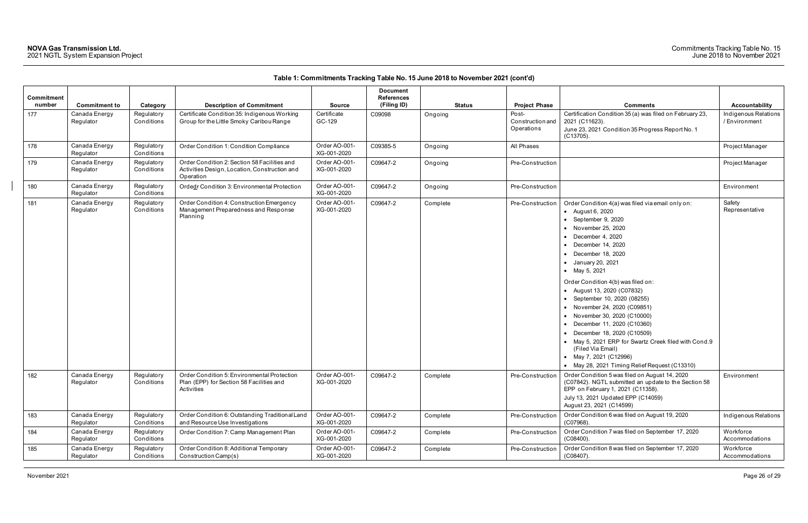| Commitment<br>number | <b>Commitment to</b>       | Category                 | <b>Description of Commitment</b>                                                                           | <b>Source</b>                | Document<br><b>References</b><br>(Filing ID) | <b>Status</b> | <b>Project Phase</b>                    | <b>Comments</b>                                                                                                                                                                                                                                                                                                                                                                                                                                                                                                                                                                                                    | Accountability                        |
|----------------------|----------------------------|--------------------------|------------------------------------------------------------------------------------------------------------|------------------------------|----------------------------------------------|---------------|-----------------------------------------|--------------------------------------------------------------------------------------------------------------------------------------------------------------------------------------------------------------------------------------------------------------------------------------------------------------------------------------------------------------------------------------------------------------------------------------------------------------------------------------------------------------------------------------------------------------------------------------------------------------------|---------------------------------------|
| 177                  | Canada Energy<br>Regulator | Regulatory<br>Conditions | Certificate Condition 35: Indigenous Working<br>Group for the Little Smoky Caribou Range                   | Certificate<br>GC-129        | C09098                                       | Ongoing       | Post-<br>Construction and<br>Operations | Certification Condition 35 (a) was filed on February 23,<br>2021 (C11623).<br>June 23, 2021 Condition 35 Progress Report No. 1<br>$(C13705)$ .                                                                                                                                                                                                                                                                                                                                                                                                                                                                     | Indigenous Relations<br>/ Environment |
| 178                  | Canada Energy<br>Regulator | Regulatory<br>Conditions | Order Condition 1: Condition Compliance                                                                    | Order AO-001-<br>XG-001-2020 | C09385-5                                     | Ongoing       | All Phases                              |                                                                                                                                                                                                                                                                                                                                                                                                                                                                                                                                                                                                                    | Project Manager                       |
| 179                  | Canada Energy<br>Regulator | Regulatory<br>Conditions | Order Condition 2: Section 58 Facilities and<br>Activities Design, Location, Construction and<br>Operation | Order AO-001-<br>XG-001-2020 | C09647-2                                     | Ongoing       | Pre-Construction                        |                                                                                                                                                                                                                                                                                                                                                                                                                                                                                                                                                                                                                    | Project Manager                       |
| 180                  | Canada Energy<br>Regulator | Regulatory<br>Conditions | Ordedr Condition 3: Environmental Protection                                                               | Order AO-001-<br>XG-001-2020 | C09647-2                                     | Ongoing       | Pre-Construction                        |                                                                                                                                                                                                                                                                                                                                                                                                                                                                                                                                                                                                                    | Environment                           |
| 181                  | Canada Energy<br>Regulator | Regulatory<br>Conditions | Order Condition 4: Construction Emergency<br>Management Preparedness and Response<br>Planning              | Order AO-001-<br>XG-001-2020 | C09647-2                                     | Complete      | Pre-Construction                        | Order Condition 4(a) was filed via email only on:<br>• August 6, 2020<br>• September 9, 2020<br>• November 25, 2020<br>December 4, 2020<br>December 14, 2020<br>December 18, 2020<br>• January 20, 2021<br>• May 5, 2021<br>Order Condition 4(b) was filed on:<br>• August 13, 2020 (C07832)<br>• September 10, 2020 (08255)<br>• November 24, 2020 (C09851)<br>• November 30, 2020 (C10000)<br>• December 11, 2020 (C10360)<br>December 18, 2020 (C10509)<br>• May 5, 2021 ERP for Swartz Creek filed with Cond.9<br>(Filed Via Email)<br>• May 7, 2021 (C12996)<br>• May 28, 2021 Timing Relief Request (C13310) | Safety<br>Representative              |
| 182                  | Canada Energy<br>Regulator | Regulatory<br>Conditions | Order Condition 5: Environmental Protection<br>Plan (EPP) for Section 58 Facilities and<br>Activities      | Order AO-001-<br>XG-001-2020 | C09647-2                                     | Complete      | Pre-Construction                        | Order Condition 5 was filed on August 14, 2020<br>(C07842). NGTL submitted an update to the Section 58<br>EPP on February 1, 2021 (C11358).<br>July 13, 2021 Updated EPP (C14059)<br>August 23, 2021 (C14599)                                                                                                                                                                                                                                                                                                                                                                                                      | Environment                           |
| 183                  | Canada Energy<br>Regulator | Regulatory<br>Conditions | Order Condition 6: Outstanding Traditional Land<br>and Resource Use Investigations                         | Order AO-001-<br>XG-001-2020 | C09647-2                                     | Complete      | Pre-Construction                        | Order Condition 6 was filed on August 19, 2020<br>(C07968).                                                                                                                                                                                                                                                                                                                                                                                                                                                                                                                                                        | Indigenous Relations                  |
| 184                  | Canada Energy<br>Regulator | Regulatory<br>Conditions | Order Condition 7: Camp Management Plan                                                                    | Order AO-001-<br>XG-001-2020 | C09647-2                                     | Complete      | Pre-Construction                        | Order Condition 7 was filed on September 17, 2020<br>$(C08400)$ .                                                                                                                                                                                                                                                                                                                                                                                                                                                                                                                                                  | Workforce<br>Accommodations           |
| 185                  | Canada Energy<br>Regulator | Regulatory<br>Conditions | Order Condition 8: Additional Temporary<br>Construction Camp(s)                                            | Order AO-001-<br>XG-001-2020 | C09647-2                                     | Complete      | Pre-Construction                        | Order Condition 8 was filed on September 17, 2020<br>$(C08407)$ .                                                                                                                                                                                                                                                                                                                                                                                                                                                                                                                                                  | Workforce<br>Accommodations           |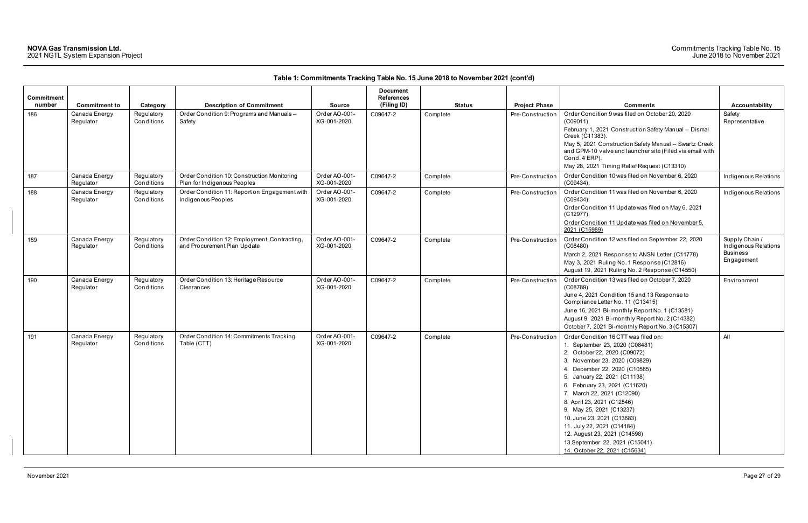| <b>Commitment</b><br>number |                                                    |                                      |                                                                                        |                                               | <b>Document</b><br><b>References</b><br>(Filing ID) |                           |                                          |                                                                                                                                                                                                                                                                                                                                                                                                                                                                                                   |                                                                         |
|-----------------------------|----------------------------------------------------|--------------------------------------|----------------------------------------------------------------------------------------|-----------------------------------------------|-----------------------------------------------------|---------------------------|------------------------------------------|---------------------------------------------------------------------------------------------------------------------------------------------------------------------------------------------------------------------------------------------------------------------------------------------------------------------------------------------------------------------------------------------------------------------------------------------------------------------------------------------------|-------------------------------------------------------------------------|
| 186                         | <b>Commitment to</b><br>Canada Energy<br>Regulator | Category<br>Regulatory<br>Conditions | <b>Description of Commitment</b><br>Order Condition 9: Programs and Manuals-<br>Safety | <b>Source</b><br>Order AO-001-<br>XG-001-2020 | C09647-2                                            | <b>Status</b><br>Complete | <b>Project Phase</b><br>Pre-Construction | <b>Comments</b><br>Order Condition 9 was filed on October 20, 2020<br>$(C09011)$ .<br>February 1, 2021 Construction Safety Manual - Dismal<br>Creek (C11383).<br>May 5, 2021 Construction Safety Manual - Swartz Creek<br>and GPM-10 valve and launcher site (Filed via email with<br>Cond. 4 ERP).<br>May 28, 2021 Timing Relief Request (C13310)                                                                                                                                                | <b>Accountability</b><br>Safety<br>Representative                       |
| 187                         | Canada Energy<br>Regulator                         | Regulatory<br>Conditions             | Order Condition 10: Construction Monitoring<br>Plan for Indigenous Peoples             | Order AO-001-<br>XG-001-2020                  | C09647-2                                            | Complete                  | Pre-Construction                         | Order Condition 10 was filed on November 6, 2020<br>$(C09434)$ .                                                                                                                                                                                                                                                                                                                                                                                                                                  | Indigenous Relations                                                    |
| 188                         | Canada Energy<br>Regulator                         | Regulatory<br>Conditions             | Order Condition 11: Report on Engagement with<br>Indigenous Peoples                    | Order AO-001-<br>XG-001-2020                  | C09647-2                                            | Complete                  | Pre-Construction                         | Order Condition 11 was filed on November 6, 2020<br>$(C09434)$ .<br>Order Condition 11 Update was filed on May 6, 2021<br>(C12977).<br>Order Condition 11 Update was filed on November 5,<br>2021 (C15989)                                                                                                                                                                                                                                                                                        | Indigenous Relations                                                    |
| 189                         | Canada Energy<br>Regulator                         | Regulatory<br>Conditions             | Order Condition 12: Employment, Contracting,<br>and Procurement Plan Update            | Order AO-001-<br>XG-001-2020                  | C09647-2                                            | Complete                  | Pre-Construction                         | Order Condition 12 was filed on September 22, 2020<br>(C08480)<br>March 2, 2021 Response to ANSN Letter (C11778)<br>May 3, 2021 Ruling No. 1 Response (C12816)<br>August 19, 2021 Ruling No. 2 Response (C14550)                                                                                                                                                                                                                                                                                  | Supply Chain /<br>Indigenous Relations<br><b>Business</b><br>Engagement |
| 190                         | Canada Energy<br>Regulator                         | Regulatory<br>Conditions             | Order Condition 13: Heritage Resource<br>Clearances                                    | Order AO-001-<br>XG-001-2020                  | C09647-2                                            | Complete                  | Pre-Construction                         | Order Condition 13 was filed on October 7, 2020<br>(C08789)<br>June 4, 2021 Condition 15 and 13 Response to<br>Compliance Letter No. 11 (C13415)<br>June 16, 2021 Bi-monthly Report No. 1 (C13581)<br>August 9, 2021 Bi-monthly Report No. 2 (C14382)<br>October 7, 2021 Bi-monthly Report No. 3 (C15307)                                                                                                                                                                                         | Environment                                                             |
| 191                         | Canada Energy<br>Regulator                         | Regulatory<br>Conditions             | Order Condition 14: Commitments Tracking<br>Table (CTT)                                | Order AO-001-<br>XG-001-2020                  | C09647-2                                            | Complete                  | Pre-Construction                         | Order Condition 16 CTT was filed on:<br>1. September 23, 2020 (C08481)<br>2. October 22, 2020 (C09072)<br>3. November 23, 2020 (C09829)<br>4. December 22, 2020 (C10565)<br>5. January 22, 2021 (C11138)<br>6. February 23, 2021 (C11620)<br>7. March 22, 2021 (C12090)<br>8. April 23, 2021 (C12546)<br>9. May 25, 2021 (C13237)<br>10. June 23, 2021 (C13683)<br>11. July 22, 2021 (C14184)<br>12. August 23, 2021 (C14598)<br>13. September 22, 2021 (C15041)<br>14. October 22, 2021 (C15634) | All                                                                     |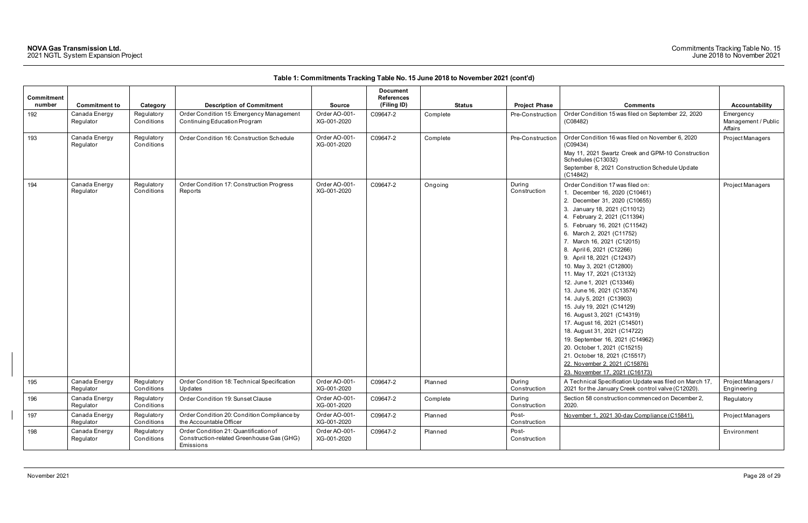| <b>Commitment</b> |                            |                          |                                                                                                 |                              | <b>Document</b><br><b>References</b> |               |                        |                                                                                                                                                                                                                                                                                                                                                                                                                                                                                                                                                                                                                                                                                                                                                                                |                                             |
|-------------------|----------------------------|--------------------------|-------------------------------------------------------------------------------------------------|------------------------------|--------------------------------------|---------------|------------------------|--------------------------------------------------------------------------------------------------------------------------------------------------------------------------------------------------------------------------------------------------------------------------------------------------------------------------------------------------------------------------------------------------------------------------------------------------------------------------------------------------------------------------------------------------------------------------------------------------------------------------------------------------------------------------------------------------------------------------------------------------------------------------------|---------------------------------------------|
| number            | <b>Commitment to</b>       | Category                 | <b>Description of Commitment</b>                                                                | <b>Source</b>                | (Filing ID)                          | <b>Status</b> | <b>Project Phase</b>   | <b>Comments</b>                                                                                                                                                                                                                                                                                                                                                                                                                                                                                                                                                                                                                                                                                                                                                                | Accountability                              |
| 192               | Canada Energy<br>Regulator | Regulatory<br>Conditions | Order Condition 15: Emergency Management<br>Continuing Education Program                        | Order AO-001-<br>XG-001-2020 | C09647-2                             | Complete      | Pre-Construction       | Order Condition 15 was filed on September 22, 2020<br>(C08482)                                                                                                                                                                                                                                                                                                                                                                                                                                                                                                                                                                                                                                                                                                                 | Emergency<br>Management / Public<br>Affairs |
| 193               | Canada Energy<br>Regulator | Regulatory<br>Conditions | Order Condition 16: Construction Schedule                                                       | Order AO-001-<br>XG-001-2020 | C09647-2                             | Complete      | Pre-Construction       | Order Condition 16 was filed on November 6, 2020<br>(C09434)<br>May 11, 2021 Swartz Creek and GPM-10 Construction<br>Schedules (C13032)<br>September 8, 2021 Construction Schedule Update<br>(C14842)                                                                                                                                                                                                                                                                                                                                                                                                                                                                                                                                                                          | Project Managers                            |
| 194               | Canada Energy<br>Regulator | Regulatory<br>Conditions | Order Condition 17: Construction Progress<br>Reports                                            | Order AO-001-<br>XG-001-2020 | C09647-2                             | Ongoing       | During<br>Construction | Order Condition 17 was filed on:<br>1. December 16, 2020 (C10461)<br>2. December 31, 2020 (C10655)<br>3. January 18, 2021 (C11012)<br>4. February 2, 2021 (C11394)<br>5. February 16, 2021 (C11542)<br>6. March 2, 2021 (C11752)<br>7. March 16, 2021 (C12015)<br>8. April 6, 2021 (C12266)<br>9. April 18, 2021 (C12437)<br>10. May 3, 2021 (C12800)<br>11. May 17, 2021 (C13132)<br>12. June 1, 2021 (C13346)<br>13. June 16, 2021 (C13574)<br>14. July 5, 2021 (C13903)<br>15. July 19, 2021 (C14129)<br>16. August 3, 2021 (C14319)<br>17. August 16, 2021 (C14501)<br>18. August 31, 2021 (C14722)<br>19. September 16, 2021 (C14962)<br>20. October 1, 2021 (C15215)<br>21. October 18, 2021 (C15517)<br>22. November 2, 2021 (C15876)<br>23. November 17, 2021 (C16173) | Project Managers                            |
| 195               | Canada Energy<br>Regulator | Regulatory<br>Conditions | Order Condition 18: Technical Specification<br>Updates                                          | Order AO-001-<br>XG-001-2020 | C09647-2                             | Planned       | During<br>Construction | A Technical Specification Update was filed on March 17,<br>2021 for the January Creek control valve (C12020).                                                                                                                                                                                                                                                                                                                                                                                                                                                                                                                                                                                                                                                                  | Project Managers /<br>Engineering           |
| 196               | Canada Energy<br>Regulator | Regulatory<br>Conditions | Order Condition 19: Sunset Clause                                                               | Order AO-001-<br>XG-001-2020 | C09647-2                             | Complete      | During<br>Construction | Section 58 construction commenced on December 2,<br>2020.                                                                                                                                                                                                                                                                                                                                                                                                                                                                                                                                                                                                                                                                                                                      | Regulatory                                  |
| 197               | Canada Energy<br>Regulator | Regulatory<br>Conditions | Order Condition 20: Condition Compliance by<br>the Accountable Officer                          | Order AO-001-<br>XG-001-2020 | C09647-2                             | Planned       | Post-<br>Construction  | November 1, 2021 30-day Compliance (C15841).                                                                                                                                                                                                                                                                                                                                                                                                                                                                                                                                                                                                                                                                                                                                   | Project Managers                            |
| 198               | Canada Energy<br>Regulator | Regulatory<br>Conditions | Order Condition 21: Quantification of<br>Construction-related Greenhouse Gas (GHG)<br>Emissions | Order AO-001-<br>XG-001-2020 | C09647-2                             | Planned       | Post-<br>Construction  |                                                                                                                                                                                                                                                                                                                                                                                                                                                                                                                                                                                                                                                                                                                                                                                | Environment                                 |